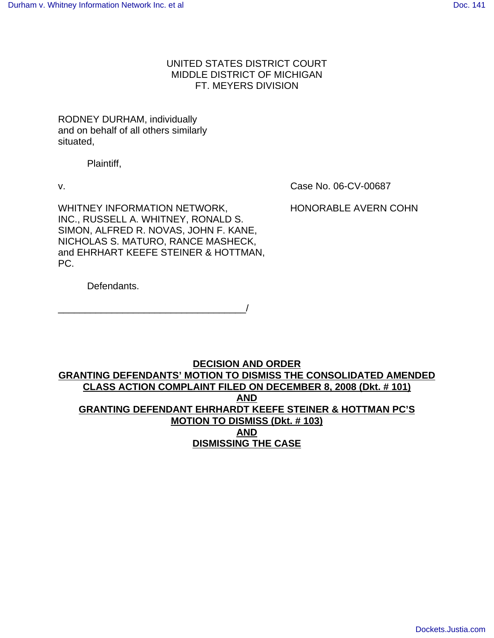# UNITED STATES DISTRICT COURT MIDDLE DISTRICT OF MICHIGAN FT. MEYERS DIVISION

# RODNEY DURHAM, individually and on behalf of all others similarly situated,

Plaintiff,

v. Case No. 06-CV-00687

WHITNEY INFORMATION NETWORK, HONORABLE AVERN COHN INC., RUSSELL A. WHITNEY, RONALD S. SIMON, ALFRED R. NOVAS, JOHN F. KANE, NICHOLAS S. MATURO, RANCE MASHECK, and EHRHART KEEFE STEINER & HOTTMAN, PC.

Defendants.

\_\_\_\_\_\_\_\_\_\_\_\_\_\_\_\_\_\_\_\_\_\_\_\_\_\_\_\_\_\_\_\_\_\_\_/

# **DECISION AND ORDER GRANTING DEFENDANTS' MOTION TO DISMISS THE CONSOLIDATED AMENDED CLASS ACTION COMPLAINT FILED ON DECEMBER 8, 2008 (Dkt. # 101) AND GRANTING DEFENDANT EHRHARDT KEEFE STEINER & HOTTMAN PC'S MOTION TO DISMISS (Dkt. # 103) AND DISMISSING THE CASE**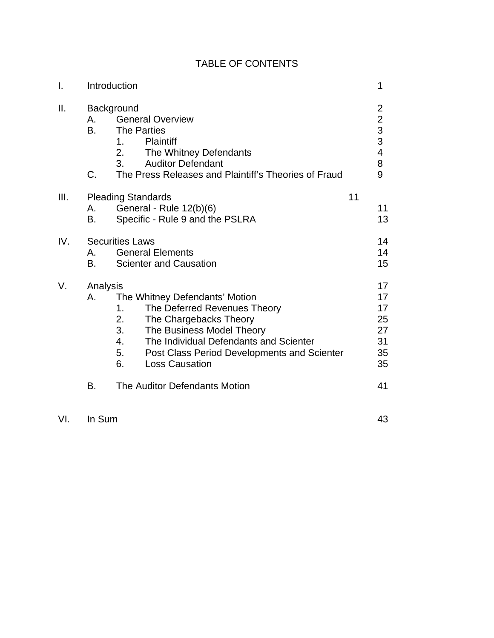| $\mathbf{I}$ . | Introduction          |                                                                                                                                                                                                                                                                             |    | 1                                                                                      |
|----------------|-----------------------|-----------------------------------------------------------------------------------------------------------------------------------------------------------------------------------------------------------------------------------------------------------------------------|----|----------------------------------------------------------------------------------------|
| Ш.             | А.<br><b>B.</b><br>C. | Background<br><b>General Overview</b><br><b>The Parties</b><br><b>Plaintiff</b><br>1.<br>2.<br>The Whitney Defendants<br><b>Auditor Defendant</b><br>3.<br>The Press Releases and Plaintiff's Theories of Fraud                                                             |    | $\overline{c}$<br>$\overline{2}$<br>$\frac{3}{3}$<br>$\overline{\mathbf{4}}$<br>8<br>9 |
| III.           | А.<br>В.              | <b>Pleading Standards</b><br>General - Rule 12(b)(6)<br>Specific - Rule 9 and the PSLRA                                                                                                                                                                                     | 11 | 11<br>13                                                                               |
| IV.            | А.<br>В.              | <b>Securities Laws</b><br><b>General Elements</b><br><b>Scienter and Causation</b>                                                                                                                                                                                          |    | 14<br>14<br>15                                                                         |
| V.             | Analysis<br>А.        | The Whitney Defendants' Motion<br>1.<br>The Deferred Revenues Theory<br>2.<br>The Chargebacks Theory<br>3.<br>The Business Model Theory<br>The Individual Defendants and Scienter<br>4.<br>5.<br>Post Class Period Developments and Scienter<br>6.<br><b>Loss Causation</b> |    | 17<br>17<br>17<br>25<br>27<br>31<br>35<br>35                                           |
|                | В.                    | The Auditor Defendants Motion                                                                                                                                                                                                                                               |    | 41                                                                                     |

VI. In Sum 43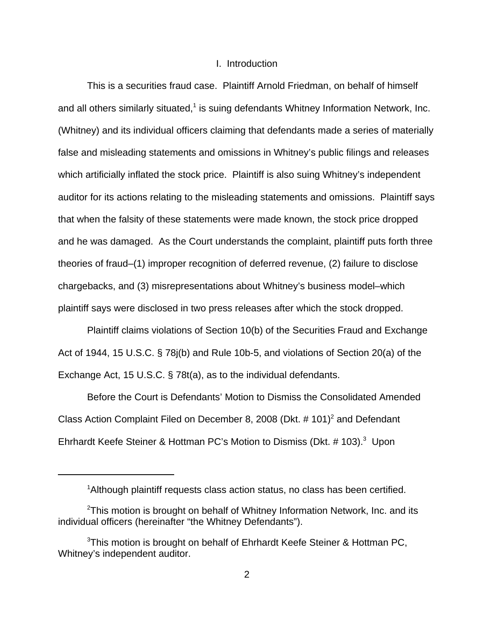# I. Introduction

This is a securities fraud case. Plaintiff Arnold Friedman, on behalf of himself and all others similarly situated, $<sup>1</sup>$  is suing defendants Whitney Information Network, Inc.</sup> (Whitney) and its individual officers claiming that defendants made a series of materially false and misleading statements and omissions in Whitney's public filings and releases which artificially inflated the stock price. Plaintiff is also suing Whitney's independent auditor for its actions relating to the misleading statements and omissions. Plaintiff says that when the falsity of these statements were made known, the stock price dropped and he was damaged. As the Court understands the complaint, plaintiff puts forth three theories of fraud–(1) improper recognition of deferred revenue, (2) failure to disclose chargebacks, and (3) misrepresentations about Whitney's business model–which plaintiff says were disclosed in two press releases after which the stock dropped.

Plaintiff claims violations of Section 10(b) of the Securities Fraud and Exchange Act of 1944, 15 U.S.C. § 78j(b) and Rule 10b-5, and violations of Section 20(a) of the Exchange Act, 15 U.S.C. § 78t(a), as to the individual defendants.

Before the Court is Defendants' Motion to Dismiss the Consolidated Amended Class Action Complaint Filed on December 8, 2008 (Dkt.  $# 101$ )<sup>2</sup> and Defendant Ehrhardt Keefe Steiner & Hottman PC's Motion to Dismiss (Dkt. # 103).<sup>3</sup> Upon

<sup>&</sup>lt;sup>1</sup>Although plaintiff requests class action status, no class has been certified.

 $2$ This motion is brought on behalf of Whitney Information Network, Inc. and its individual officers (hereinafter "the Whitney Defendants").

 $3$ This motion is brought on behalf of Ehrhardt Keefe Steiner & Hottman PC, Whitney's independent auditor.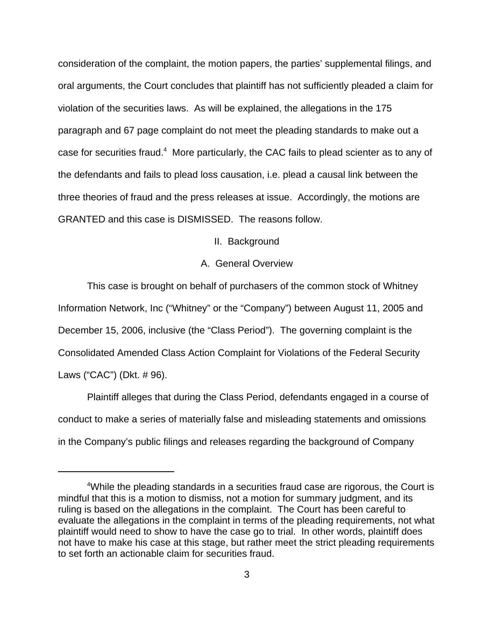consideration of the complaint, the motion papers, the parties' supplemental filings, and oral arguments, the Court concludes that plaintiff has not sufficiently pleaded a claim for violation of the securities laws. As will be explained, the allegations in the 175 paragraph and 67 page complaint do not meet the pleading standards to make out a case for securities fraud.<sup>4</sup> More particularly, the CAC fails to plead scienter as to any of the defendants and fails to plead loss causation, i.e. plead a causal link between the three theories of fraud and the press releases at issue. Accordingly, the motions are GRANTED and this case is DISMISSED. The reasons follow.

II. Background

# A. General Overview

This case is brought on behalf of purchasers of the common stock of Whitney Information Network, Inc ("Whitney" or the "Company") between August 11, 2005 and December 15, 2006, inclusive (the "Class Period"). The governing complaint is the Consolidated Amended Class Action Complaint for Violations of the Federal Security Laws ("CAC") (Dkt. # 96).

Plaintiff alleges that during the Class Period, defendants engaged in a course of conduct to make a series of materially false and misleading statements and omissions in the Company's public filings and releases regarding the background of Company

<sup>&</sup>lt;sup>4</sup>While the pleading standards in a securities fraud case are rigorous, the Court is mindful that this is a motion to dismiss, not a motion for summary judgment, and its ruling is based on the allegations in the complaint. The Court has been careful to evaluate the allegations in the complaint in terms of the pleading requirements, not what plaintiff would need to show to have the case go to trial. In other words, plaintiff does not have to make his case at this stage, but rather meet the strict pleading requirements to set forth an actionable claim for securities fraud.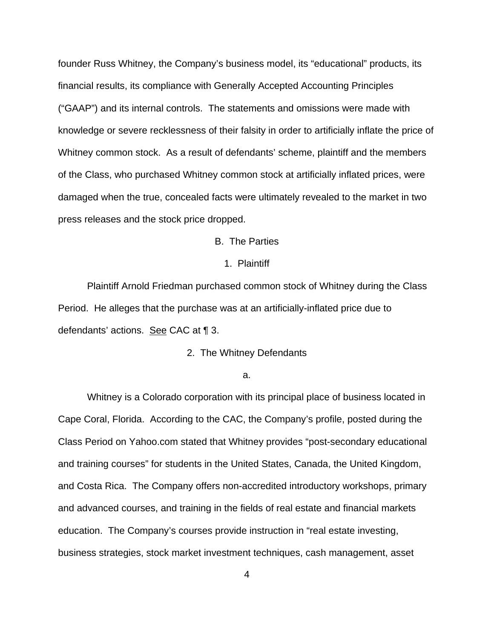founder Russ Whitney, the Company's business model, its "educational" products, its financial results, its compliance with Generally Accepted Accounting Principles ("GAAP") and its internal controls. The statements and omissions were made with knowledge or severe recklessness of their falsity in order to artificially inflate the price of Whitney common stock. As a result of defendants' scheme, plaintiff and the members of the Class, who purchased Whitney common stock at artificially inflated prices, were damaged when the true, concealed facts were ultimately revealed to the market in two press releases and the stock price dropped.

# B. The Parties

#### 1. Plaintiff

Plaintiff Arnold Friedman purchased common stock of Whitney during the Class Period. He alleges that the purchase was at an artificially-inflated price due to defendants' actions. See CAC at ¶ 3.

2. The Whitney Defendants

#### a.

Whitney is a Colorado corporation with its principal place of business located in Cape Coral, Florida. According to the CAC, the Company's profile, posted during the Class Period on Yahoo.com stated that Whitney provides "post-secondary educational and training courses" for students in the United States, Canada, the United Kingdom, and Costa Rica. The Company offers non-accredited introductory workshops, primary and advanced courses, and training in the fields of real estate and financial markets education. The Company's courses provide instruction in "real estate investing, business strategies, stock market investment techniques, cash management, asset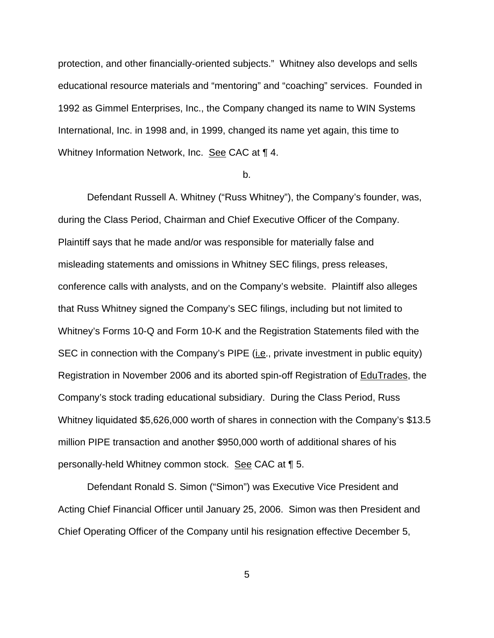protection, and other financially-oriented subjects." Whitney also develops and sells educational resource materials and "mentoring" and "coaching" services. Founded in 1992 as Gimmel Enterprises, Inc., the Company changed its name to WIN Systems International, Inc. in 1998 and, in 1999, changed its name yet again, this time to Whitney Information Network, Inc. See CAC at ¶ 4.

#### b.

Defendant Russell A. Whitney ("Russ Whitney"), the Company's founder, was, during the Class Period, Chairman and Chief Executive Officer of the Company. Plaintiff says that he made and/or was responsible for materially false and misleading statements and omissions in Whitney SEC filings, press releases, conference calls with analysts, and on the Company's website. Plaintiff also alleges that Russ Whitney signed the Company's SEC filings, including but not limited to Whitney's Forms 10-Q and Form 10-K and the Registration Statements filed with the SEC in connection with the Company's PIPE (*i.e.*, private investment in public equity) Registration in November 2006 and its aborted spin-off Registration of EduTrades, the Company's stock trading educational subsidiary. During the Class Period, Russ Whitney liquidated \$5,626,000 worth of shares in connection with the Company's \$13.5 million PIPE transaction and another \$950,000 worth of additional shares of his personally-held Whitney common stock. See CAC at 1 5.

Defendant Ronald S. Simon ("Simon") was Executive Vice President and Acting Chief Financial Officer until January 25, 2006. Simon was then President and Chief Operating Officer of the Company until his resignation effective December 5,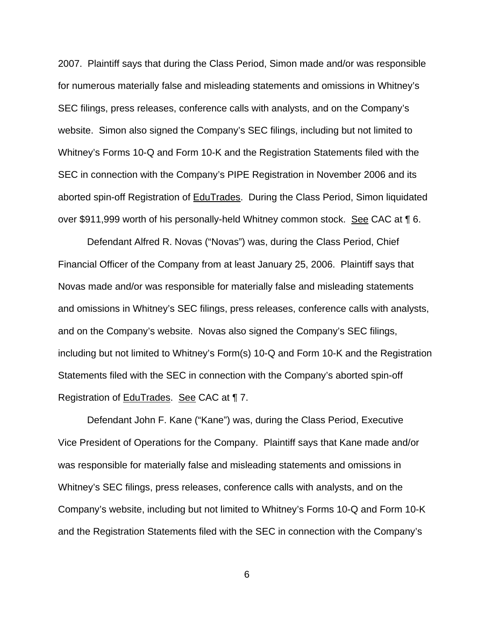2007. Plaintiff says that during the Class Period, Simon made and/or was responsible for numerous materially false and misleading statements and omissions in Whitney's SEC filings, press releases, conference calls with analysts, and on the Company's website. Simon also signed the Company's SEC filings, including but not limited to Whitney's Forms 10-Q and Form 10-K and the Registration Statements filed with the SEC in connection with the Company's PIPE Registration in November 2006 and its aborted spin-off Registration of EduTrades. During the Class Period, Simon liquidated over \$911,999 worth of his personally-held Whitney common stock. See CAC at ¶ 6.

Defendant Alfred R. Novas ("Novas") was, during the Class Period, Chief Financial Officer of the Company from at least January 25, 2006. Plaintiff says that Novas made and/or was responsible for materially false and misleading statements and omissions in Whitney's SEC filings, press releases, conference calls with analysts, and on the Company's website. Novas also signed the Company's SEC filings, including but not limited to Whitney's Form(s) 10-Q and Form 10-K and the Registration Statements filed with the SEC in connection with the Company's aborted spin-off Registration of EduTrades. See CAC at ¶ 7.

Defendant John F. Kane ("Kane") was, during the Class Period, Executive Vice President of Operations for the Company. Plaintiff says that Kane made and/or was responsible for materially false and misleading statements and omissions in Whitney's SEC filings, press releases, conference calls with analysts, and on the Company's website, including but not limited to Whitney's Forms 10-Q and Form 10-K and the Registration Statements filed with the SEC in connection with the Company's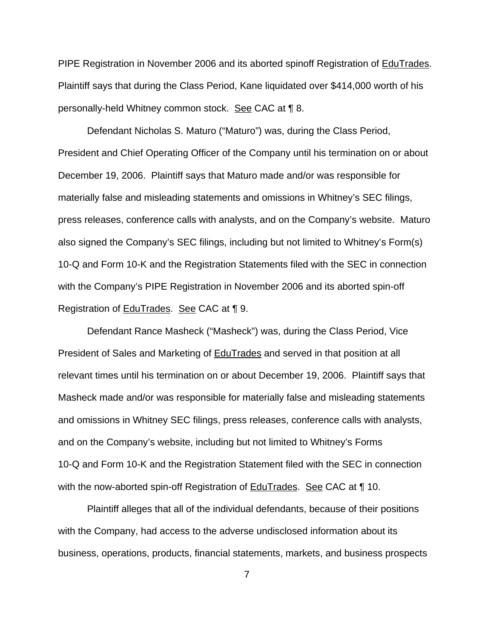PIPE Registration in November 2006 and its aborted spinoff Registration of EduTrades. Plaintiff says that during the Class Period, Kane liquidated over \$414,000 worth of his personally-held Whitney common stock. See CAC at ¶ 8.

Defendant Nicholas S. Maturo ("Maturo") was, during the Class Period, President and Chief Operating Officer of the Company until his termination on or about December 19, 2006. Plaintiff says that Maturo made and/or was responsible for materially false and misleading statements and omissions in Whitney's SEC filings, press releases, conference calls with analysts, and on the Company's website. Maturo also signed the Company's SEC filings, including but not limited to Whitney's Form(s) 10-Q and Form 10-K and the Registration Statements filed with the SEC in connection with the Company's PIPE Registration in November 2006 and its aborted spin-off Registration of EduTrades. See CAC at ¶ 9.

Defendant Rance Masheck ("Masheck") was, during the Class Period, Vice President of Sales and Marketing of **EduTrades** and served in that position at all relevant times until his termination on or about December 19, 2006. Plaintiff says that Masheck made and/or was responsible for materially false and misleading statements and omissions in Whitney SEC filings, press releases, conference calls with analysts, and on the Company's website, including but not limited to Whitney's Forms 10-Q and Form 10-K and the Registration Statement filed with the SEC in connection with the now-aborted spin-off Registration of **EduTrades.** See CAC at ¶ 10.

Plaintiff alleges that all of the individual defendants, because of their positions with the Company, had access to the adverse undisclosed information about its business, operations, products, financial statements, markets, and business prospects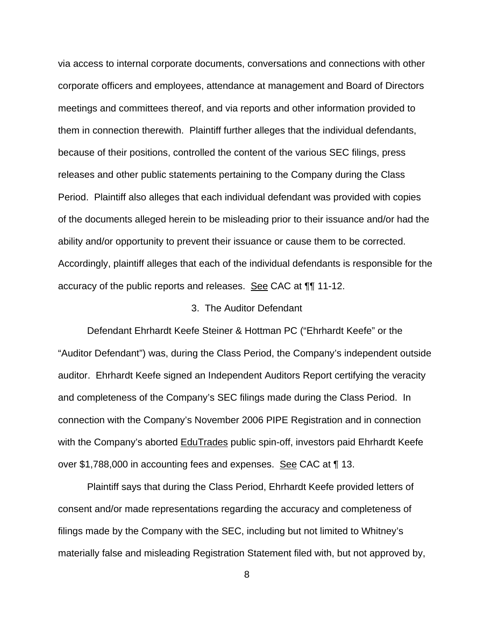via access to internal corporate documents, conversations and connections with other corporate officers and employees, attendance at management and Board of Directors meetings and committees thereof, and via reports and other information provided to them in connection therewith. Plaintiff further alleges that the individual defendants, because of their positions, controlled the content of the various SEC filings, press releases and other public statements pertaining to the Company during the Class Period. Plaintiff also alleges that each individual defendant was provided with copies of the documents alleged herein to be misleading prior to their issuance and/or had the ability and/or opportunity to prevent their issuance or cause them to be corrected. Accordingly, plaintiff alleges that each of the individual defendants is responsible for the accuracy of the public reports and releases. See CAC at ¶¶ 11-12.

#### 3. The Auditor Defendant

Defendant Ehrhardt Keefe Steiner & Hottman PC ("Ehrhardt Keefe" or the "Auditor Defendant") was, during the Class Period, the Company's independent outside auditor. Ehrhardt Keefe signed an Independent Auditors Report certifying the veracity and completeness of the Company's SEC filings made during the Class Period. In connection with the Company's November 2006 PIPE Registration and in connection with the Company's aborted EduTrades public spin-off, investors paid Ehrhardt Keefe over \$1,788,000 in accounting fees and expenses. See CAC at 113.

Plaintiff says that during the Class Period, Ehrhardt Keefe provided letters of consent and/or made representations regarding the accuracy and completeness of filings made by the Company with the SEC, including but not limited to Whitney's materially false and misleading Registration Statement filed with, but not approved by,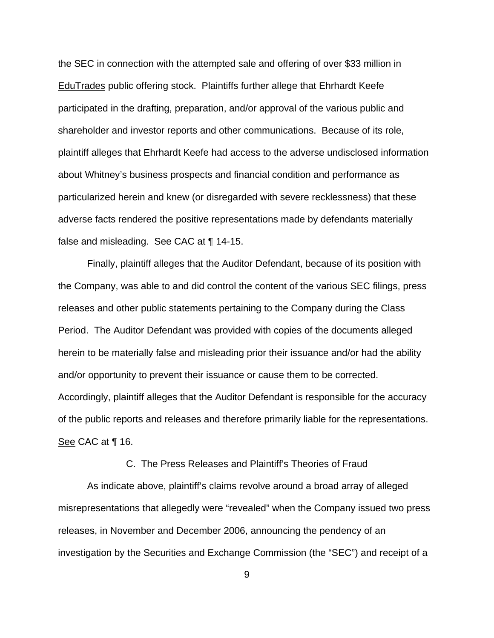the SEC in connection with the attempted sale and offering of over \$33 million in EduTrades public offering stock. Plaintiffs further allege that Ehrhardt Keefe participated in the drafting, preparation, and/or approval of the various public and shareholder and investor reports and other communications. Because of its role, plaintiff alleges that Ehrhardt Keefe had access to the adverse undisclosed information about Whitney's business prospects and financial condition and performance as particularized herein and knew (or disregarded with severe recklessness) that these adverse facts rendered the positive representations made by defendants materially false and misleading. See CAC at ¶ 14-15.

Finally, plaintiff alleges that the Auditor Defendant, because of its position with the Company, was able to and did control the content of the various SEC filings, press releases and other public statements pertaining to the Company during the Class Period. The Auditor Defendant was provided with copies of the documents alleged herein to be materially false and misleading prior their issuance and/or had the ability and/or opportunity to prevent their issuance or cause them to be corrected. Accordingly, plaintiff alleges that the Auditor Defendant is responsible for the accuracy of the public reports and releases and therefore primarily liable for the representations. See CAC at ¶ 16.

# C. The Press Releases and Plaintiff's Theories of Fraud

As indicate above, plaintiff's claims revolve around a broad array of alleged misrepresentations that allegedly were "revealed" when the Company issued two press releases, in November and December 2006, announcing the pendency of an investigation by the Securities and Exchange Commission (the "SEC") and receipt of a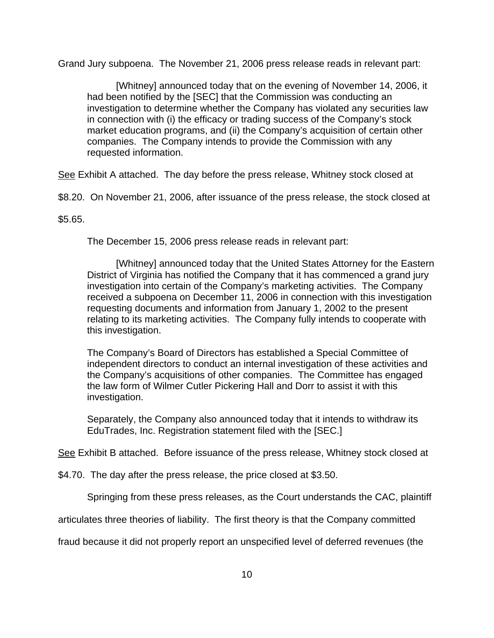Grand Jury subpoena. The November 21, 2006 press release reads in relevant part:

[Whitney] announced today that on the evening of November 14, 2006, it had been notified by the [SEC] that the Commission was conducting an investigation to determine whether the Company has violated any securities law in connection with (i) the efficacy or trading success of the Company's stock market education programs, and (ii) the Company's acquisition of certain other companies. The Company intends to provide the Commission with any requested information.

See Exhibit A attached. The day before the press release, Whitney stock closed at

\$8.20. On November 21, 2006, after issuance of the press release, the stock closed at

\$5.65.

The December 15, 2006 press release reads in relevant part:

[Whitney] announced today that the United States Attorney for the Eastern District of Virginia has notified the Company that it has commenced a grand jury investigation into certain of the Company's marketing activities. The Company received a subpoena on December 11, 2006 in connection with this investigation requesting documents and information from January 1, 2002 to the present relating to its marketing activities. The Company fully intends to cooperate with this investigation.

The Company's Board of Directors has established a Special Committee of independent directors to conduct an internal investigation of these activities and the Company's acquisitions of other companies. The Committee has engaged the law form of Wilmer Cutler Pickering Hall and Dorr to assist it with this investigation.

Separately, the Company also announced today that it intends to withdraw its EduTrades, Inc. Registration statement filed with the [SEC.]

See Exhibit B attached. Before issuance of the press release, Whitney stock closed at

\$4.70. The day after the press release, the price closed at \$3.50.

Springing from these press releases, as the Court understands the CAC, plaintiff

articulates three theories of liability. The first theory is that the Company committed

fraud because it did not properly report an unspecified level of deferred revenues (the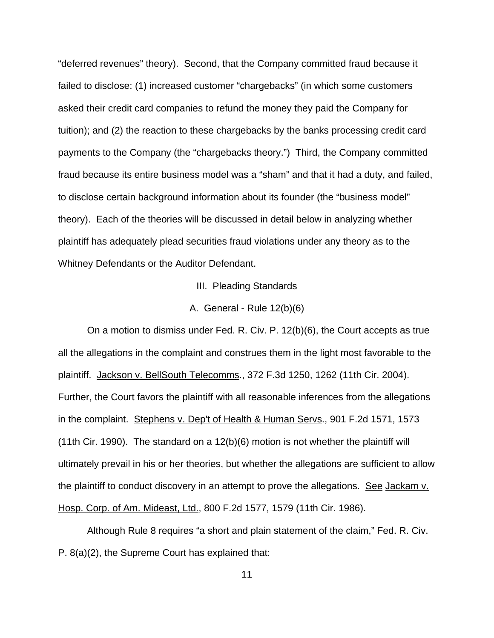"deferred revenues" theory). Second, that the Company committed fraud because it failed to disclose: (1) increased customer "chargebacks" (in which some customers asked their credit card companies to refund the money they paid the Company for tuition); and (2) the reaction to these chargebacks by the banks processing credit card payments to the Company (the "chargebacks theory.") Third, the Company committed fraud because its entire business model was a "sham" and that it had a duty, and failed, to disclose certain background information about its founder (the "business model" theory). Each of the theories will be discussed in detail below in analyzing whether plaintiff has adequately plead securities fraud violations under any theory as to the Whitney Defendants or the Auditor Defendant.

III. Pleading Standards

A. General - Rule 12(b)(6)

On a motion to dismiss under Fed. R. Civ. P. 12(b)(6), the Court accepts as true all the allegations in the complaint and construes them in the light most favorable to the plaintiff. Jackson v. BellSouth Telecomms., 372 F.3d 1250, 1262 (11th Cir. 2004). Further, the Court favors the plaintiff with all reasonable inferences from the allegations in the complaint. Stephens v. Dep't of Health & Human Servs., 901 F.2d 1571, 1573 (11th Cir. 1990). The standard on a 12(b)(6) motion is not whether the plaintiff will ultimately prevail in his or her theories, but whether the allegations are sufficient to allow the plaintiff to conduct discovery in an attempt to prove the allegations. See Jackam v. Hosp. Corp. of Am. Mideast, Ltd., 800 F.2d 1577, 1579 (11th Cir. 1986).

Although Rule 8 requires "a short and plain statement of the claim," Fed. R. Civ. P. 8(a)(2), the Supreme Court has explained that: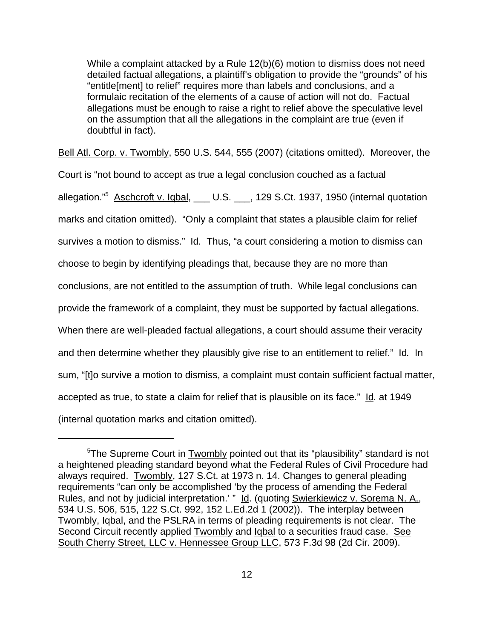While a complaint attacked by a Rule 12(b)(6) motion to dismiss does not need detailed factual allegations, a plaintiff's obligation to provide the "grounds" of his "entitle[ment] to relief" requires more than labels and conclusions, and a formulaic recitation of the elements of a cause of action will not do. Factual allegations must be enough to raise a right to relief above the speculative level on the assumption that all the allegations in the complaint are true (even if doubtful in fact).

Bell Atl. Corp. v. Twombly, 550 U.S. 544, 555 (2007) (citations omitted). Moreover, the

Court is "not bound to accept as true a legal conclusion couched as a factual allegation."<sup>5</sup> Aschcroft v. Iqbal, \_\_\_ U.S. \_\_\_, 129 S.Ct. 1937, 1950 (internal quotation marks and citation omitted). "Only a complaint that states a plausible claim for relief survives a motion to dismiss." Id*.* Thus, "a court considering a motion to dismiss can choose to begin by identifying pleadings that, because they are no more than conclusions, are not entitled to the assumption of truth. While legal conclusions can provide the framework of a complaint, they must be supported by factual allegations. When there are well-pleaded factual allegations, a court should assume their veracity and then determine whether they plausibly give rise to an entitlement to relief." Id*.* In sum, "[t]o survive a motion to dismiss, a complaint must contain sufficient factual matter, accepted as true, to state a claim for relief that is plausible on its face." Id*.* at 1949 (internal quotation marks and citation omitted).

<sup>&</sup>lt;sup>5</sup>The Supreme Court in **Twombly pointed out that its "plausibility**" standard is not a heightened pleading standard beyond what the Federal Rules of Civil Procedure had always required. Twombly, 127 S.Ct. at 1973 n. 14. Changes to general pleading requirements "can only be accomplished 'by the process of amending the Federal Rules, and not by judicial interpretation.' " Id. (quoting Swierkiewicz v. Sorema N. A., 534 U.S. 506, 515, 122 S.Ct. 992, 152 L.Ed.2d 1 (2002)). The interplay between Twombly, Iqbal, and the PSLRA in terms of pleading requirements is not clear. The Second Circuit recently applied Twombly and Igbal to a securities fraud case. See South Cherry Street, LLC v. Hennessee Group LLC, 573 F.3d 98 (2d Cir. 2009).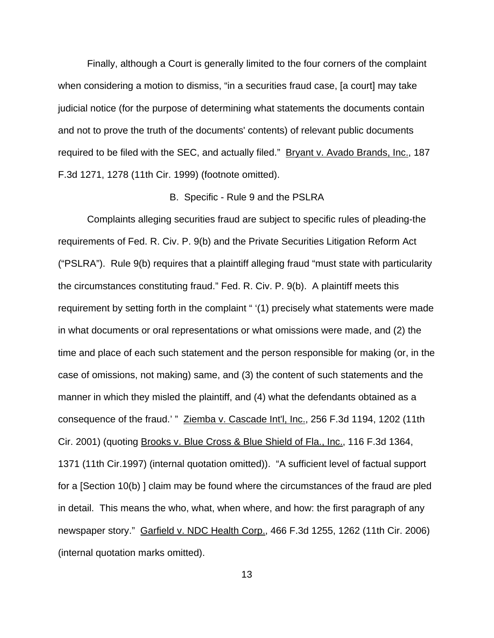Finally, although a Court is generally limited to the four corners of the complaint when considering a motion to dismiss, "in a securities fraud case, [a court] may take judicial notice (for the purpose of determining what statements the documents contain and not to prove the truth of the documents' contents) of relevant public documents required to be filed with the SEC, and actually filed." Bryant v. Avado Brands, Inc., 187 F.3d 1271, 1278 (11th Cir. 1999) (footnote omitted).

#### B. Specific - Rule 9 and the PSLRA

Complaints alleging securities fraud are subject to specific rules of pleading-the requirements of Fed. R. Civ. P. 9(b) and the Private Securities Litigation Reform Act ("PSLRA"). Rule 9(b) requires that a plaintiff alleging fraud "must state with particularity the circumstances constituting fraud." Fed. R. Civ. P. 9(b). A plaintiff meets this requirement by setting forth in the complaint " '(1) precisely what statements were made in what documents or oral representations or what omissions were made, and (2) the time and place of each such statement and the person responsible for making (or, in the case of omissions, not making) same, and (3) the content of such statements and the manner in which they misled the plaintiff, and (4) what the defendants obtained as a consequence of the fraud.' " Ziemba v. Cascade Int'l, Inc., 256 F.3d 1194, 1202 (11th Cir. 2001) (quoting Brooks v. Blue Cross & Blue Shield of Fla., Inc., 116 F.3d 1364, 1371 (11th Cir.1997) (internal quotation omitted)). "A sufficient level of factual support for a [Section 10(b) ] claim may be found where the circumstances of the fraud are pled in detail. This means the who, what, when where, and how: the first paragraph of any newspaper story." Garfield v. NDC Health Corp., 466 F.3d 1255, 1262 (11th Cir. 2006) (internal quotation marks omitted).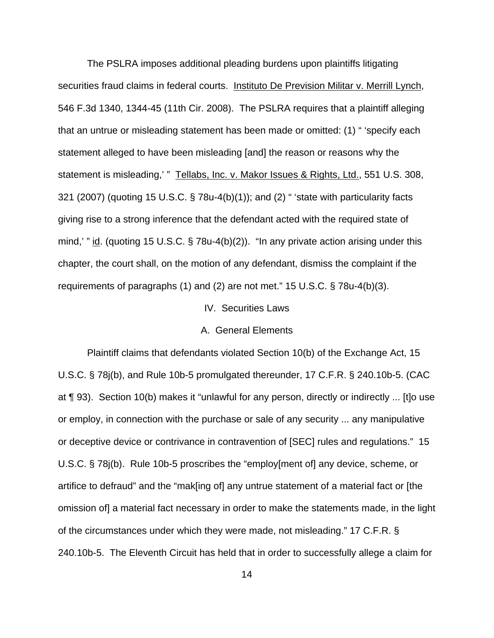The PSLRA imposes additional pleading burdens upon plaintiffs litigating securities fraud claims in federal courts. Instituto De Prevision Militar v. Merrill Lynch, 546 F.3d 1340, 1344-45 (11th Cir. 2008). The PSLRA requires that a plaintiff alleging that an untrue or misleading statement has been made or omitted: (1) " 'specify each statement alleged to have been misleading [and] the reason or reasons why the statement is misleading,' " Tellabs, Inc. v. Makor Issues & Rights, Ltd., 551 U.S. 308, 321 (2007) (quoting 15 U.S.C. § 78u-4(b)(1)); and (2) " 'state with particularity facts giving rise to a strong inference that the defendant acted with the required state of mind,' " id. (quoting 15 U.S.C.  $\S$  78u-4(b)(2)). "In any private action arising under this chapter, the court shall, on the motion of any defendant, dismiss the complaint if the requirements of paragraphs (1) and (2) are not met." 15 U.S.C. § 78u-4(b)(3).

#### IV. Securities Laws

### A. General Elements

Plaintiff claims that defendants violated Section 10(b) of the Exchange Act, 15 U.S.C. § 78j(b), and Rule 10b-5 promulgated thereunder, 17 C.F.R. § 240.10b-5. (CAC at ¶ 93). Section 10(b) makes it "unlawful for any person, directly or indirectly ... [t]o use or employ, in connection with the purchase or sale of any security ... any manipulative or deceptive device or contrivance in contravention of [SEC] rules and regulations." 15 U.S.C. § 78j(b). Rule 10b-5 proscribes the "employ[ment of] any device, scheme, or artifice to defraud" and the "mak[ing of] any untrue statement of a material fact or [the omission of] a material fact necessary in order to make the statements made, in the light of the circumstances under which they were made, not misleading." 17 C.F.R. § 240.10b-5. The Eleventh Circuit has held that in order to successfully allege a claim for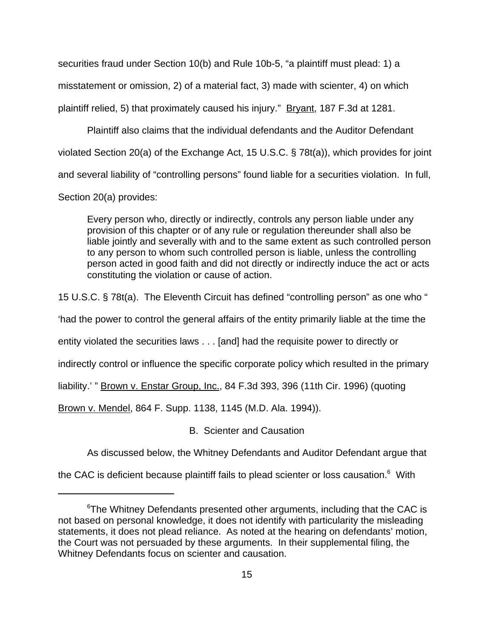securities fraud under Section 10(b) and Rule 10b-5, "a plaintiff must plead: 1) a misstatement or omission, 2) of a material fact, 3) made with scienter, 4) on which plaintiff relied, 5) that proximately caused his injury." Bryant, 187 F.3d at 1281.

Plaintiff also claims that the individual defendants and the Auditor Defendant violated Section 20(a) of the Exchange Act, 15 U.S.C. § 78t(a)), which provides for joint and several liability of "controlling persons" found liable for a securities violation. In full, Section 20(a) provides:

Every person who, directly or indirectly, controls any person liable under any provision of this chapter or of any rule or regulation thereunder shall also be liable jointly and severally with and to the same extent as such controlled person to any person to whom such controlled person is liable, unless the controlling person acted in good faith and did not directly or indirectly induce the act or acts constituting the violation or cause of action.

15 U.S.C. § 78t(a). The Eleventh Circuit has defined "controlling person" as one who "

'had the power to control the general affairs of the entity primarily liable at the time the

entity violated the securities laws . . . [and] had the requisite power to directly or

indirectly control or influence the specific corporate policy which resulted in the primary

liability.' " Brown v. Enstar Group, Inc., 84 F.3d 393, 396 (11th Cir. 1996) (quoting

Brown v. Mendel, 864 F. Supp. 1138, 1145 (M.D. Ala. 1994)).

B. Scienter and Causation

As discussed below, the Whitney Defendants and Auditor Defendant argue that

the CAC is deficient because plaintiff fails to plead scienter or loss causation. $6$  With

 $6$ The Whitney Defendants presented other arguments, including that the CAC is not based on personal knowledge, it does not identify with particularity the misleading statements, it does not plead reliance. As noted at the hearing on defendants' motion, the Court was not persuaded by these arguments. In their supplemental filing, the Whitney Defendants focus on scienter and causation.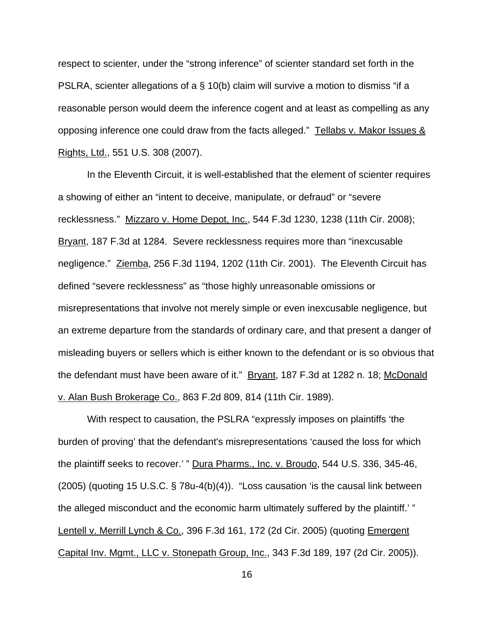respect to scienter, under the "strong inference" of scienter standard set forth in the PSLRA, scienter allegations of a § 10(b) claim will survive a motion to dismiss "if a reasonable person would deem the inference cogent and at least as compelling as any opposing inference one could draw from the facts alleged." Tellabs v. Makor Issues & Rights, Ltd., 551 U.S. 308 (2007).

In the Eleventh Circuit, it is well-established that the element of scienter requires a showing of either an "intent to deceive, manipulate, or defraud" or "severe recklessness." Mizzaro v. Home Depot, Inc., 544 F.3d 1230, 1238 (11th Cir. 2008); Bryant, 187 F.3d at 1284. Severe recklessness requires more than "inexcusable negligence." Ziemba, 256 F.3d 1194, 1202 (11th Cir. 2001). The Eleventh Circuit has defined "severe recklessness" as "those highly unreasonable omissions or misrepresentations that involve not merely simple or even inexcusable negligence, but an extreme departure from the standards of ordinary care, and that present a danger of misleading buyers or sellers which is either known to the defendant or is so obvious that the defendant must have been aware of it." Bryant, 187 F.3d at 1282 n. 18; McDonald v. Alan Bush Brokerage Co., 863 F.2d 809, 814 (11th Cir. 1989).

With respect to causation, the PSLRA "expressly imposes on plaintiffs 'the burden of proving' that the defendant's misrepresentations 'caused the loss for which the plaintiff seeks to recover.' " Dura Pharms., Inc. v. Broudo, 544 U.S. 336, 345-46, (2005) (quoting 15 U.S.C. § 78u-4(b)(4)). "Loss causation 'is the causal link between the alleged misconduct and the economic harm ultimately suffered by the plaintiff.' " Lentell v. Merrill Lynch & Co., 396 F.3d 161, 172 (2d Cir. 2005) (quoting Emergent Capital Inv. Mgmt., LLC v. Stonepath Group, Inc., 343 F.3d 189, 197 (2d Cir. 2005)).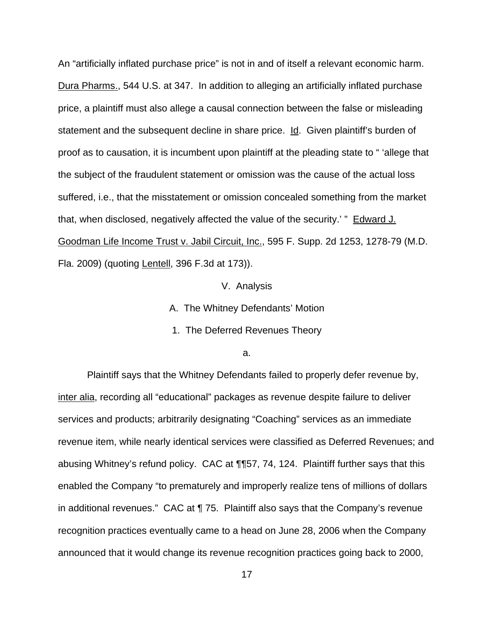An "artificially inflated purchase price" is not in and of itself a relevant economic harm. Dura Pharms., 544 U.S. at 347. In addition to alleging an artificially inflated purchase price, a plaintiff must also allege a causal connection between the false or misleading statement and the subsequent decline in share price. Id. Given plaintiff's burden of proof as to causation, it is incumbent upon plaintiff at the pleading state to " 'allege that the subject of the fraudulent statement or omission was the cause of the actual loss suffered, i.e., that the misstatement or omission concealed something from the market that, when disclosed, negatively affected the value of the security.' " Edward J. Goodman Life Income Trust v. Jabil Circuit, Inc., 595 F. Supp. 2d 1253, 1278-79 (M.D. Fla. 2009) (quoting Lentell, 396 F.3d at 173)).

V. Analysis

A. The Whitney Defendants' Motion

1. The Deferred Revenues Theory

a.

Plaintiff says that the Whitney Defendants failed to properly defer revenue by, inter alia, recording all "educational" packages as revenue despite failure to deliver services and products; arbitrarily designating "Coaching" services as an immediate revenue item, while nearly identical services were classified as Deferred Revenues; and abusing Whitney's refund policy. CAC at ¶¶57, 74, 124. Plaintiff further says that this enabled the Company "to prematurely and improperly realize tens of millions of dollars in additional revenues." CAC at ¶ 75. Plaintiff also says that the Company's revenue recognition practices eventually came to a head on June 28, 2006 when the Company announced that it would change its revenue recognition practices going back to 2000,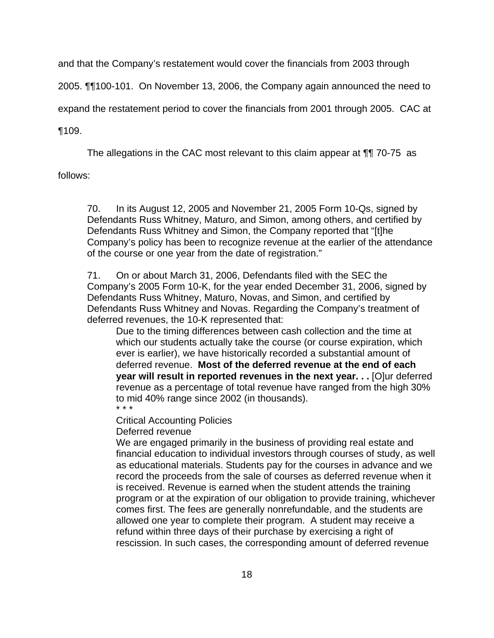and that the Company's restatement would cover the financials from 2003 through

2005. ¶¶100-101. On November 13, 2006, the Company again announced the need to

expand the restatement period to cover the financials from 2001 through 2005. CAC at

¶109.

The allegations in the CAC most relevant to this claim appear at ¶¶ 70-75 as

follows:

70. In its August 12, 2005 and November 21, 2005 Form 10-Qs, signed by Defendants Russ Whitney, Maturo, and Simon, among others, and certified by Defendants Russ Whitney and Simon, the Company reported that "[t]he Company's policy has been to recognize revenue at the earlier of the attendance of the course or one year from the date of registration."

71. On or about March 31, 2006, Defendants filed with the SEC the Company's 2005 Form 10-K, for the year ended December 31, 2006, signed by Defendants Russ Whitney, Maturo, Novas, and Simon, and certified by Defendants Russ Whitney and Novas. Regarding the Company's treatment of deferred revenues, the 10-K represented that:

Due to the timing differences between cash collection and the time at which our students actually take the course (or course expiration, which ever is earlier), we have historically recorded a substantial amount of deferred revenue. **Most of the deferred revenue at the end of each year will result in reported revenues in the next year. . .** [O]ur deferred revenue as a percentage of total revenue have ranged from the high 30% to mid 40% range since 2002 (in thousands). \* \* \*

Critical Accounting Policies

Deferred revenue

We are engaged primarily in the business of providing real estate and financial education to individual investors through courses of study, as well as educational materials. Students pay for the courses in advance and we record the proceeds from the sale of courses as deferred revenue when it is received. Revenue is earned when the student attends the training program or at the expiration of our obligation to provide training, whichever comes first. The fees are generally nonrefundable, and the students are allowed one year to complete their program. A student may receive a refund within three days of their purchase by exercising a right of rescission. In such cases, the corresponding amount of deferred revenue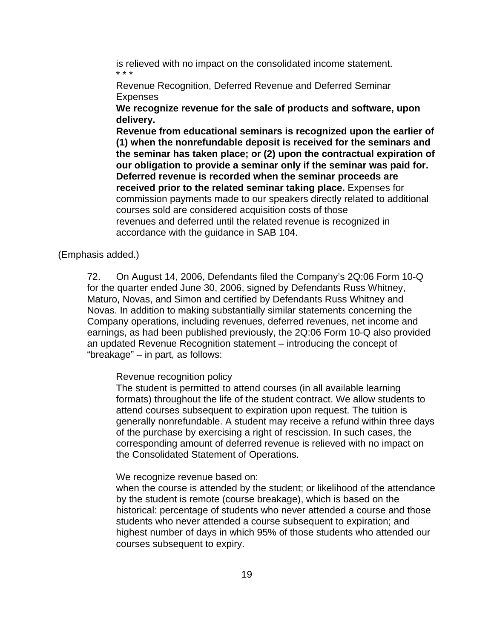is relieved with no impact on the consolidated income statement. \* \* \*

Revenue Recognition, Deferred Revenue and Deferred Seminar Expenses

**We recognize revenue for the sale of products and software, upon delivery.**

**Revenue from educational seminars is recognized upon the earlier of (1) when the nonrefundable deposit is received for the seminars and the seminar has taken place; or (2) upon the contractual expiration of our obligation to provide a seminar only if the seminar was paid for. Deferred revenue is recorded when the seminar proceeds are received prior to the related seminar taking place.** Expenses for commission payments made to our speakers directly related to additional courses sold are considered acquisition costs of those revenues and deferred until the related revenue is recognized in accordance with the guidance in SAB 104.

# (Emphasis added.)

72. On August 14, 2006, Defendants filed the Company's 2Q:06 Form 10-Q for the quarter ended June 30, 2006, signed by Defendants Russ Whitney, Maturo, Novas, and Simon and certified by Defendants Russ Whitney and Novas. In addition to making substantially similar statements concerning the Company operations, including revenues, deferred revenues, net income and earnings, as had been published previously, the 2Q:06 Form 10-Q also provided an updated Revenue Recognition statement – introducing the concept of "breakage" – in part, as follows:

# Revenue recognition policy

The student is permitted to attend courses (in all available learning formats) throughout the life of the student contract. We allow students to attend courses subsequent to expiration upon request. The tuition is generally nonrefundable. A student may receive a refund within three days of the purchase by exercising a right of rescission. In such cases, the corresponding amount of deferred revenue is relieved with no impact on the Consolidated Statement of Operations.

### We recognize revenue based on:

when the course is attended by the student; or likelihood of the attendance by the student is remote (course breakage), which is based on the historical: percentage of students who never attended a course and those students who never attended a course subsequent to expiration; and highest number of days in which 95% of those students who attended our courses subsequent to expiry.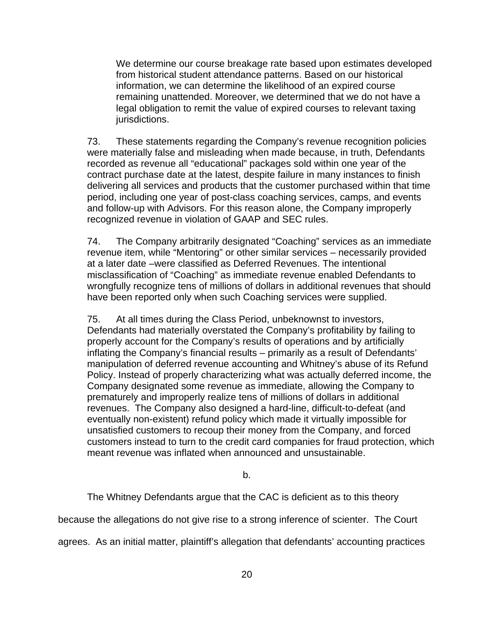We determine our course breakage rate based upon estimates developed from historical student attendance patterns. Based on our historical information, we can determine the likelihood of an expired course remaining unattended. Moreover, we determined that we do not have a legal obligation to remit the value of expired courses to relevant taxing jurisdictions.

73. These statements regarding the Company's revenue recognition policies were materially false and misleading when made because, in truth, Defendants recorded as revenue all "educational" packages sold within one year of the contract purchase date at the latest, despite failure in many instances to finish delivering all services and products that the customer purchased within that time period, including one year of post-class coaching services, camps, and events and follow-up with Advisors. For this reason alone, the Company improperly recognized revenue in violation of GAAP and SEC rules.

74. The Company arbitrarily designated "Coaching" services as an immediate revenue item, while "Mentoring" or other similar services – necessarily provided at a later date –were classified as Deferred Revenues. The intentional misclassification of "Coaching" as immediate revenue enabled Defendants to wrongfully recognize tens of millions of dollars in additional revenues that should have been reported only when such Coaching services were supplied.

75. At all times during the Class Period, unbeknownst to investors, Defendants had materially overstated the Company's profitability by failing to properly account for the Company's results of operations and by artificially inflating the Company's financial results – primarily as a result of Defendants' manipulation of deferred revenue accounting and Whitney's abuse of its Refund Policy. Instead of properly characterizing what was actually deferred income, the Company designated some revenue as immediate, allowing the Company to prematurely and improperly realize tens of millions of dollars in additional revenues. The Company also designed a hard-line, difficult-to-defeat (and eventually non-existent) refund policy which made it virtually impossible for unsatisfied customers to recoup their money from the Company, and forced customers instead to turn to the credit card companies for fraud protection, which meant revenue was inflated when announced and unsustainable.

b.

The Whitney Defendants argue that the CAC is deficient as to this theory

because the allegations do not give rise to a strong inference of scienter. The Court

agrees. As an initial matter, plaintiff's allegation that defendants' accounting practices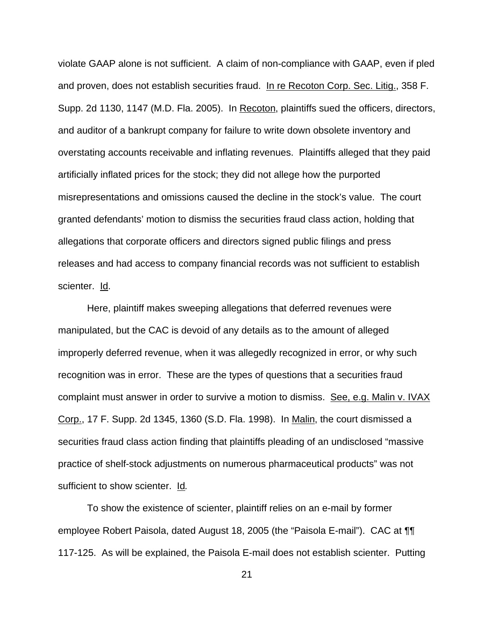violate GAAP alone is not sufficient. A claim of non-compliance with GAAP, even if pled and proven, does not establish securities fraud. In re Recoton Corp. Sec. Litig., 358 F. Supp. 2d 1130, 1147 (M.D. Fla. 2005). In Recoton, plaintiffs sued the officers, directors, and auditor of a bankrupt company for failure to write down obsolete inventory and overstating accounts receivable and inflating revenues. Plaintiffs alleged that they paid artificially inflated prices for the stock; they did not allege how the purported misrepresentations and omissions caused the decline in the stock's value. The court granted defendants' motion to dismiss the securities fraud class action, holding that allegations that corporate officers and directors signed public filings and press releases and had access to company financial records was not sufficient to establish scienter. Id.

Here, plaintiff makes sweeping allegations that deferred revenues were manipulated, but the CAC is devoid of any details as to the amount of alleged improperly deferred revenue, when it was allegedly recognized in error, or why such recognition was in error. These are the types of questions that a securities fraud complaint must answer in order to survive a motion to dismiss. See, e.g. Malin v. IVAX Corp., 17 F. Supp. 2d 1345, 1360 (S.D. Fla. 1998). In Malin, the court dismissed a securities fraud class action finding that plaintiffs pleading of an undisclosed "massive practice of shelf-stock adjustments on numerous pharmaceutical products" was not sufficient to show scienter. Id*.* 

To show the existence of scienter, plaintiff relies on an e-mail by former employee Robert Paisola, dated August 18, 2005 (the "Paisola E-mail"). CAC at ¶¶ 117-125. As will be explained, the Paisola E-mail does not establish scienter. Putting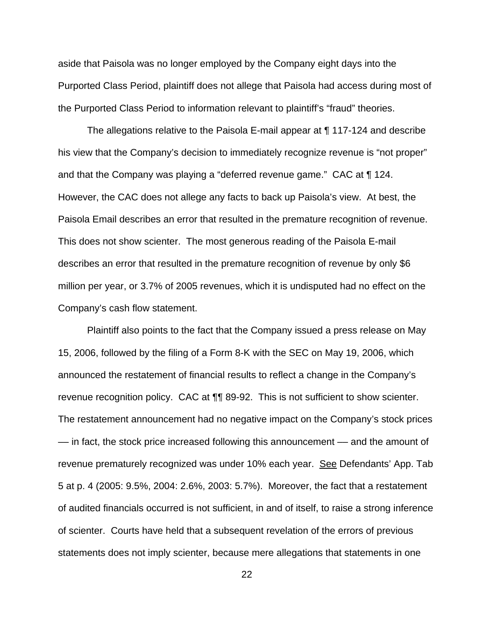aside that Paisola was no longer employed by the Company eight days into the Purported Class Period, plaintiff does not allege that Paisola had access during most of the Purported Class Period to information relevant to plaintiff's "fraud" theories.

The allegations relative to the Paisola E-mail appear at ¶ 117-124 and describe his view that the Company's decision to immediately recognize revenue is "not proper" and that the Company was playing a "deferred revenue game." CAC at ¶ 124. However, the CAC does not allege any facts to back up Paisola's view. At best, the Paisola Email describes an error that resulted in the premature recognition of revenue. This does not show scienter. The most generous reading of the Paisola E-mail describes an error that resulted in the premature recognition of revenue by only \$6 million per year, or 3.7% of 2005 revenues, which it is undisputed had no effect on the Company's cash flow statement.

Plaintiff also points to the fact that the Company issued a press release on May 15, 2006, followed by the filing of a Form 8-K with the SEC on May 19, 2006, which announced the restatement of financial results to reflect a change in the Company's revenue recognition policy. CAC at ¶¶ 89-92. This is not sufficient to show scienter. The restatement announcement had no negative impact on the Company's stock prices –– in fact, the stock price increased following this announcement –– and the amount of revenue prematurely recognized was under 10% each year. See Defendants' App. Tab 5 at p. 4 (2005: 9.5%, 2004: 2.6%, 2003: 5.7%). Moreover, the fact that a restatement of audited financials occurred is not sufficient, in and of itself, to raise a strong inference of scienter. Courts have held that a subsequent revelation of the errors of previous statements does not imply scienter, because mere allegations that statements in one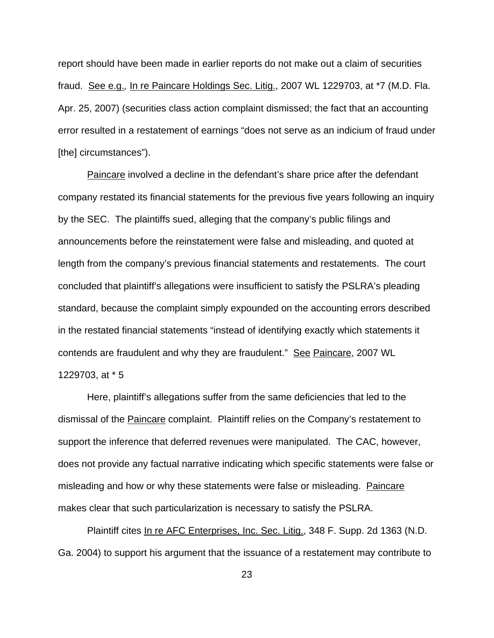report should have been made in earlier reports do not make out a claim of securities fraud. See e.g.*,* In re Paincare Holdings Sec. Litig., 2007 WL 1229703, at \*7 (M.D. Fla. Apr. 25, 2007) (securities class action complaint dismissed; the fact that an accounting error resulted in a restatement of earnings "does not serve as an indicium of fraud under [the] circumstances").

Paincare involved a decline in the defendant's share price after the defendant company restated its financial statements for the previous five years following an inquiry by the SEC. The plaintiffs sued, alleging that the company's public filings and announcements before the reinstatement were false and misleading, and quoted at length from the company's previous financial statements and restatements. The court concluded that plaintiff's allegations were insufficient to satisfy the PSLRA's pleading standard, because the complaint simply expounded on the accounting errors described in the restated financial statements "instead of identifying exactly which statements it contends are fraudulent and why they are fraudulent." See Paincare, 2007 WL 1229703, at \* 5

Here, plaintiff's allegations suffer from the same deficiencies that led to the dismissal of the **Paincare** complaint. Plaintiff relies on the Company's restatement to support the inference that deferred revenues were manipulated. The CAC, however, does not provide any factual narrative indicating which specific statements were false or misleading and how or why these statements were false or misleading. Paincare makes clear that such particularization is necessary to satisfy the PSLRA.

Plaintiff cites In re AFC Enterprises, Inc. Sec. Litig., 348 F. Supp. 2d 1363 (N.D. Ga. 2004) to support his argument that the issuance of a restatement may contribute to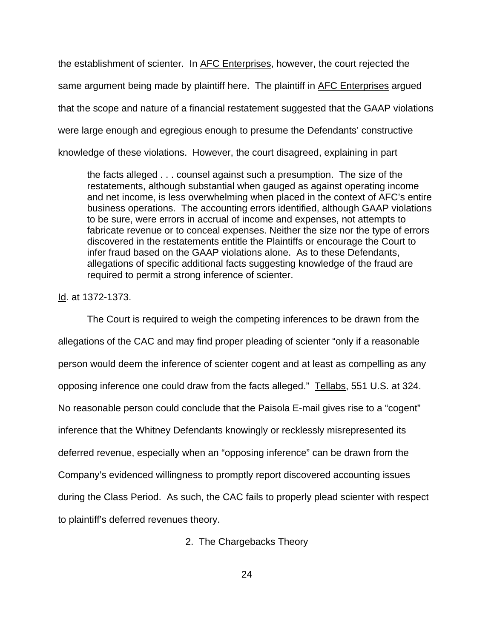the establishment of scienter. In AFC Enterprises, however, the court rejected the same argument being made by plaintiff here. The plaintiff in AFC Enterprises argued that the scope and nature of a financial restatement suggested that the GAAP violations were large enough and egregious enough to presume the Defendants' constructive knowledge of these violations. However, the court disagreed, explaining in part

the facts alleged . . . counsel against such a presumption. The size of the restatements, although substantial when gauged as against operating income and net income, is less overwhelming when placed in the context of AFC's entire business operations. The accounting errors identified, although GAAP violations to be sure, were errors in accrual of income and expenses, not attempts to fabricate revenue or to conceal expenses. Neither the size nor the type of errors discovered in the restatements entitle the Plaintiffs or encourage the Court to infer fraud based on the GAAP violations alone. As to these Defendants, allegations of specific additional facts suggesting knowledge of the fraud are required to permit a strong inference of scienter.

Id. at 1372-1373.

The Court is required to weigh the competing inferences to be drawn from the allegations of the CAC and may find proper pleading of scienter "only if a reasonable person would deem the inference of scienter cogent and at least as compelling as any opposing inference one could draw from the facts alleged." Tellabs, 551 U.S. at 324. No reasonable person could conclude that the Paisola E-mail gives rise to a "cogent" inference that the Whitney Defendants knowingly or recklessly misrepresented its deferred revenue, especially when an "opposing inference" can be drawn from the Company's evidenced willingness to promptly report discovered accounting issues during the Class Period. As such, the CAC fails to properly plead scienter with respect to plaintiff's deferred revenues theory.

2. The Chargebacks Theory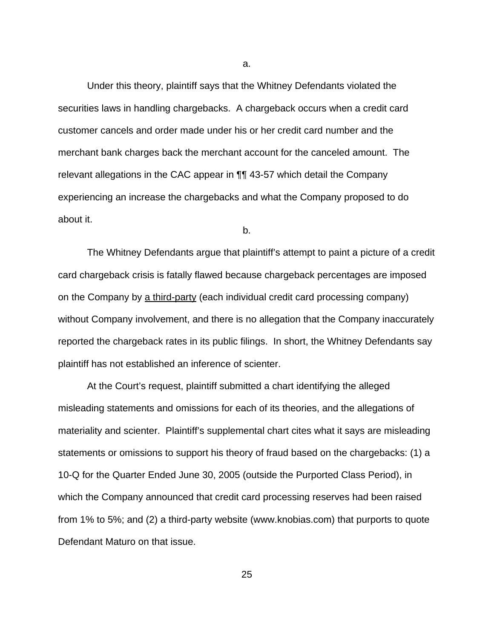Under this theory, plaintiff says that the Whitney Defendants violated the securities laws in handling chargebacks. A chargeback occurs when a credit card customer cancels and order made under his or her credit card number and the merchant bank charges back the merchant account for the canceled amount. The relevant allegations in the CAC appear in ¶¶ 43-57 which detail the Company experiencing an increase the chargebacks and what the Company proposed to do about it.

b.

The Whitney Defendants argue that plaintiff's attempt to paint a picture of a credit card chargeback crisis is fatally flawed because chargeback percentages are imposed on the Company by a third-party (each individual credit card processing company) without Company involvement, and there is no allegation that the Company inaccurately reported the chargeback rates in its public filings. In short, the Whitney Defendants say plaintiff has not established an inference of scienter.

At the Court's request, plaintiff submitted a chart identifying the alleged misleading statements and omissions for each of its theories, and the allegations of materiality and scienter. Plaintiff's supplemental chart cites what it says are misleading statements or omissions to support his theory of fraud based on the chargebacks: (1) a 10-Q for the Quarter Ended June 30, 2005 (outside the Purported Class Period), in which the Company announced that credit card processing reserves had been raised from 1% to 5%; and (2) a third-party website (www.knobias.com) that purports to quote Defendant Maturo on that issue.

a.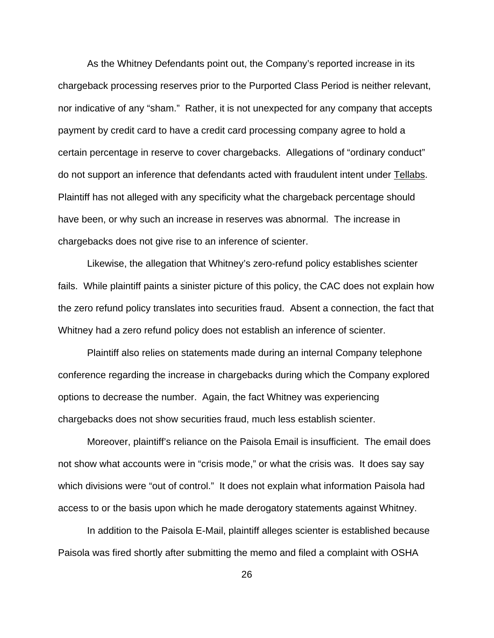As the Whitney Defendants point out, the Company's reported increase in its chargeback processing reserves prior to the Purported Class Period is neither relevant, nor indicative of any "sham." Rather, it is not unexpected for any company that accepts payment by credit card to have a credit card processing company agree to hold a certain percentage in reserve to cover chargebacks. Allegations of "ordinary conduct" do not support an inference that defendants acted with fraudulent intent under Tellabs. Plaintiff has not alleged with any specificity what the chargeback percentage should have been, or why such an increase in reserves was abnormal. The increase in chargebacks does not give rise to an inference of scienter.

Likewise, the allegation that Whitney's zero-refund policy establishes scienter fails. While plaintiff paints a sinister picture of this policy, the CAC does not explain how the zero refund policy translates into securities fraud. Absent a connection, the fact that Whitney had a zero refund policy does not establish an inference of scienter.

Plaintiff also relies on statements made during an internal Company telephone conference regarding the increase in chargebacks during which the Company explored options to decrease the number. Again, the fact Whitney was experiencing chargebacks does not show securities fraud, much less establish scienter.

Moreover, plaintiff's reliance on the Paisola Email is insufficient. The email does not show what accounts were in "crisis mode," or what the crisis was. It does say say which divisions were "out of control." It does not explain what information Paisola had access to or the basis upon which he made derogatory statements against Whitney.

In addition to the Paisola E-Mail, plaintiff alleges scienter is established because Paisola was fired shortly after submitting the memo and filed a complaint with OSHA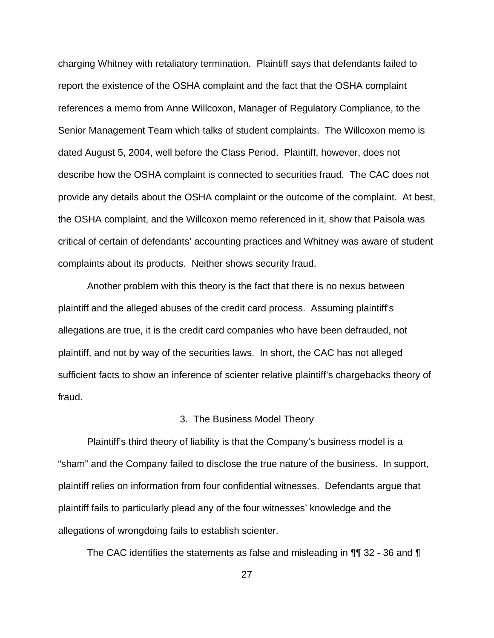charging Whitney with retaliatory termination. Plaintiff says that defendants failed to report the existence of the OSHA complaint and the fact that the OSHA complaint references a memo from Anne Willcoxon, Manager of Regulatory Compliance, to the Senior Management Team which talks of student complaints. The Willcoxon memo is dated August 5, 2004, well before the Class Period. Plaintiff, however, does not describe how the OSHA complaint is connected to securities fraud. The CAC does not provide any details about the OSHA complaint or the outcome of the complaint. At best, the OSHA complaint, and the Willcoxon memo referenced in it, show that Paisola was critical of certain of defendants' accounting practices and Whitney was aware of student complaints about its products. Neither shows security fraud.

Another problem with this theory is the fact that there is no nexus between plaintiff and the alleged abuses of the credit card process. Assuming plaintiff's allegations are true, it is the credit card companies who have been defrauded, not plaintiff, and not by way of the securities laws. In short, the CAC has not alleged sufficient facts to show an inference of scienter relative plaintiff's chargebacks theory of fraud.

#### 3. The Business Model Theory

Plaintiff's third theory of liability is that the Company's business model is a "sham" and the Company failed to disclose the true nature of the business. In support, plaintiff relies on information from four confidential witnesses. Defendants argue that plaintiff fails to particularly plead any of the four witnesses' knowledge and the allegations of wrongdoing fails to establish scienter.

The CAC identifies the statements as false and misleading in ¶¶ 32 - 36 and ¶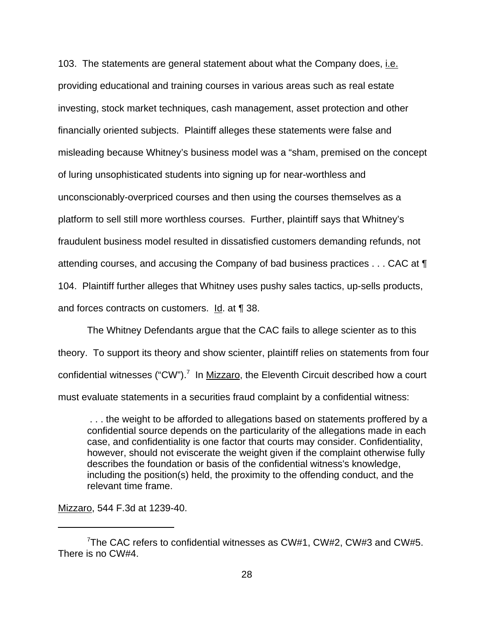103. The statements are general statement about what the Company does, i.e. providing educational and training courses in various areas such as real estate investing, stock market techniques, cash management, asset protection and other financially oriented subjects. Plaintiff alleges these statements were false and misleading because Whitney's business model was a "sham, premised on the concept of luring unsophisticated students into signing up for near-worthless and unconscionably-overpriced courses and then using the courses themselves as a platform to sell still more worthless courses. Further, plaintiff says that Whitney's fraudulent business model resulted in dissatisfied customers demanding refunds, not attending courses, and accusing the Company of bad business practices . . . CAC at ¶ 104. Plaintiff further alleges that Whitney uses pushy sales tactics, up-sells products, and forces contracts on customers. Id. at ¶ 38.

The Whitney Defendants argue that the CAC fails to allege scienter as to this theory. To support its theory and show scienter, plaintiff relies on statements from four confidential witnesses ("CW").<sup>7</sup> In Mizzaro, the Eleventh Circuit described how a court must evaluate statements in a securities fraud complaint by a confidential witness:

 . . . the weight to be afforded to allegations based on statements proffered by a confidential source depends on the particularity of the allegations made in each case, and confidentiality is one factor that courts may consider. Confidentiality, however, should not eviscerate the weight given if the complaint otherwise fully describes the foundation or basis of the confidential witness's knowledge, including the position(s) held, the proximity to the offending conduct, and the relevant time frame.

Mizzaro, 544 F.3d at 1239-40.

<sup>7</sup> The CAC refers to confidential witnesses as CW#1, CW#2, CW#3 and CW#5. There is no CW#4.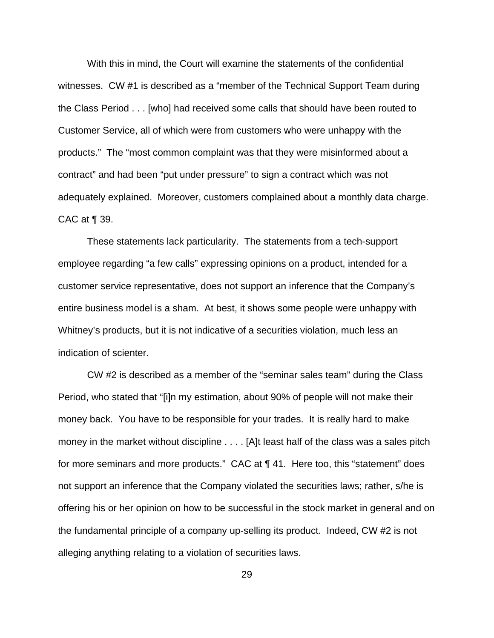With this in mind, the Court will examine the statements of the confidential witnesses. CW #1 is described as a "member of the Technical Support Team during the Class Period . . . [who] had received some calls that should have been routed to Customer Service, all of which were from customers who were unhappy with the products." The "most common complaint was that they were misinformed about a contract" and had been "put under pressure" to sign a contract which was not adequately explained. Moreover, customers complained about a monthly data charge. CAC at ¶ 39.

These statements lack particularity. The statements from a tech-support employee regarding "a few calls" expressing opinions on a product, intended for a customer service representative, does not support an inference that the Company's entire business model is a sham. At best, it shows some people were unhappy with Whitney's products, but it is not indicative of a securities violation, much less an indication of scienter.

CW #2 is described as a member of the "seminar sales team" during the Class Period, who stated that "[i]n my estimation, about 90% of people will not make their money back. You have to be responsible for your trades. It is really hard to make money in the market without discipline . . . . [A]t least half of the class was a sales pitch for more seminars and more products." CAC at ¶ 41. Here too, this "statement" does not support an inference that the Company violated the securities laws; rather, s/he is offering his or her opinion on how to be successful in the stock market in general and on the fundamental principle of a company up-selling its product. Indeed, CW #2 is not alleging anything relating to a violation of securities laws.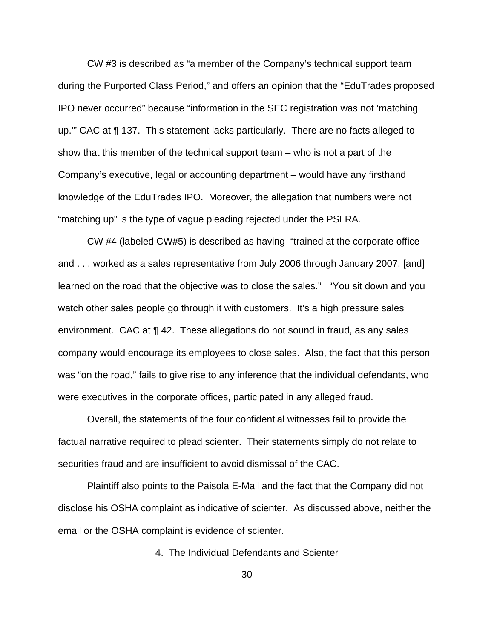CW #3 is described as "a member of the Company's technical support team during the Purported Class Period," and offers an opinion that the "EduTrades proposed IPO never occurred" because "information in the SEC registration was not 'matching up.'" CAC at ¶ 137. This statement lacks particularly. There are no facts alleged to show that this member of the technical support team – who is not a part of the Company's executive, legal or accounting department – would have any firsthand knowledge of the EduTrades IPO. Moreover, the allegation that numbers were not "matching up" is the type of vague pleading rejected under the PSLRA.

CW #4 (labeled CW#5) is described as having "trained at the corporate office and . . . worked as a sales representative from July 2006 through January 2007, [and] learned on the road that the objective was to close the sales." "You sit down and you watch other sales people go through it with customers. It's a high pressure sales environment. CAC at ¶ 42. These allegations do not sound in fraud, as any sales company would encourage its employees to close sales. Also, the fact that this person was "on the road," fails to give rise to any inference that the individual defendants, who were executives in the corporate offices, participated in any alleged fraud.

Overall, the statements of the four confidential witnesses fail to provide the factual narrative required to plead scienter. Their statements simply do not relate to securities fraud and are insufficient to avoid dismissal of the CAC.

Plaintiff also points to the Paisola E-Mail and the fact that the Company did not disclose his OSHA complaint as indicative of scienter. As discussed above, neither the email or the OSHA complaint is evidence of scienter.

4. The Individual Defendants and Scienter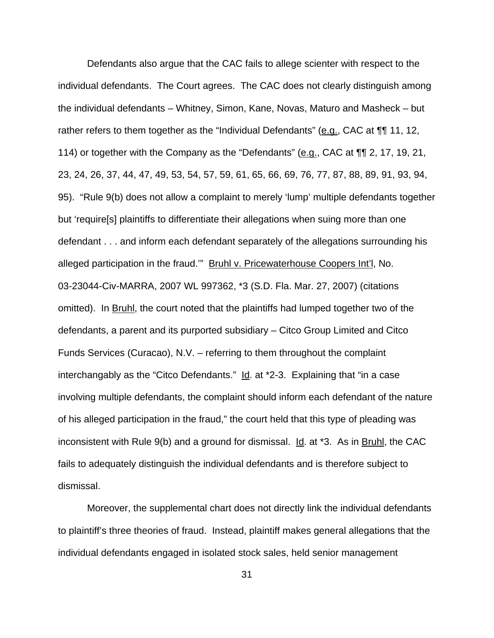Defendants also argue that the CAC fails to allege scienter with respect to the individual defendants. The Court agrees. The CAC does not clearly distinguish among the individual defendants – Whitney, Simon, Kane, Novas, Maturo and Masheck – but rather refers to them together as the "Individual Defendants" (e.g., CAC at  $\P\P$  11, 12, 114) or together with the Company as the "Defendants" ( $e.g.,$  CAC at  $\P\P$  2, 17, 19, 21, 23, 24, 26, 37, 44, 47, 49, 53, 54, 57, 59, 61, 65, 66, 69, 76, 77, 87, 88, 89, 91, 93, 94, 95). "Rule 9(b) does not allow a complaint to merely 'lump' multiple defendants together but 'require[s] plaintiffs to differentiate their allegations when suing more than one defendant . . . and inform each defendant separately of the allegations surrounding his alleged participation in the fraud."" Bruhl v. Pricewaterhouse Coopers Int'l, No. 03-23044-Civ-MARRA, 2007 WL 997362, \*3 (S.D. Fla. Mar. 27, 2007) (citations omitted). In Bruhl, the court noted that the plaintiffs had lumped together two of the defendants, a parent and its purported subsidiary – Citco Group Limited and Citco Funds Services (Curacao), N.V. – referring to them throughout the complaint interchangably as the "Citco Defendants." Id. at \*2-3. Explaining that "in a case involving multiple defendants, the complaint should inform each defendant of the nature of his alleged participation in the fraud," the court held that this type of pleading was inconsistent with Rule 9(b) and a ground for dismissal. Id. at \*3. As in Bruhl, the CAC fails to adequately distinguish the individual defendants and is therefore subject to dismissal.

Moreover, the supplemental chart does not directly link the individual defendants to plaintiff's three theories of fraud. Instead, plaintiff makes general allegations that the individual defendants engaged in isolated stock sales, held senior management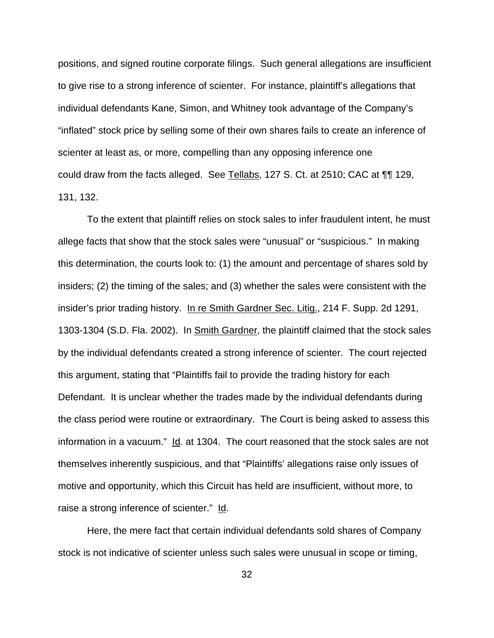positions, and signed routine corporate filings. Such general allegations are insufficient to give rise to a strong inference of scienter. For instance, plaintiff's allegations that individual defendants Kane, Simon, and Whitney took advantage of the Company's "inflated" stock price by selling some of their own shares fails to create an inference of scienter at least as, or more, compelling than any opposing inference one could draw from the facts alleged. See Tellabs, 127 S. Ct. at 2510; CAC at ¶¶ 129, 131, 132.

To the extent that plaintiff relies on stock sales to infer fraudulent intent, he must allege facts that show that the stock sales were "unusual" or "suspicious." In making this determination, the courts look to: (1) the amount and percentage of shares sold by insiders; (2) the timing of the sales; and (3) whether the sales were consistent with the insider's prior trading history. In re Smith Gardner Sec. Litig., 214 F. Supp. 2d 1291, 1303-1304 (S.D. Fla. 2002). In Smith Gardner, the plaintiff claimed that the stock sales by the individual defendants created a strong inference of scienter. The court rejected this argument, stating that "Plaintiffs fail to provide the trading history for each Defendant. It is unclear whether the trades made by the individual defendants during the class period were routine or extraordinary. The Court is being asked to assess this information in a vacuum." Id. at 1304. The court reasoned that the stock sales are not themselves inherently suspicious, and that "Plaintiffs' allegations raise only issues of motive and opportunity, which this Circuit has held are insufficient, without more, to raise a strong inference of scienter." Id.

Here, the mere fact that certain individual defendants sold shares of Company stock is not indicative of scienter unless such sales were unusual in scope or timing,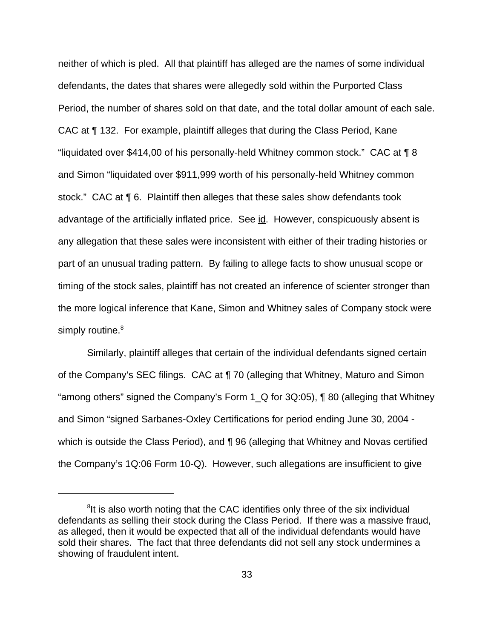neither of which is pled. All that plaintiff has alleged are the names of some individual defendants, the dates that shares were allegedly sold within the Purported Class Period, the number of shares sold on that date, and the total dollar amount of each sale. CAC at ¶ 132. For example, plaintiff alleges that during the Class Period, Kane "liquidated over \$414,00 of his personally-held Whitney common stock." CAC at ¶ 8 and Simon "liquidated over \$911,999 worth of his personally-held Whitney common stock." CAC at ¶ 6. Plaintiff then alleges that these sales show defendants took advantage of the artificially inflated price. See id. However, conspicuously absent is any allegation that these sales were inconsistent with either of their trading histories or part of an unusual trading pattern. By failing to allege facts to show unusual scope or timing of the stock sales, plaintiff has not created an inference of scienter stronger than the more logical inference that Kane, Simon and Whitney sales of Company stock were simply routine.<sup>8</sup>

Similarly, plaintiff alleges that certain of the individual defendants signed certain of the Company's SEC filings. CAC at ¶ 70 (alleging that Whitney, Maturo and Simon "among others" signed the Company's Form 1  $\alpha$  for 3Q:05), ¶ 80 (alleging that Whitney and Simon "signed Sarbanes-Oxley Certifications for period ending June 30, 2004 which is outside the Class Period), and **[96** (alleging that Whitney and Novas certified the Company's 1Q:06 Form 10-Q). However, such allegations are insufficient to give

<sup>&</sup>lt;sup>8</sup>It is also worth noting that the CAC identifies only three of the six individual defendants as selling their stock during the Class Period. If there was a massive fraud, as alleged, then it would be expected that all of the individual defendants would have sold their shares. The fact that three defendants did not sell any stock undermines a showing of fraudulent intent.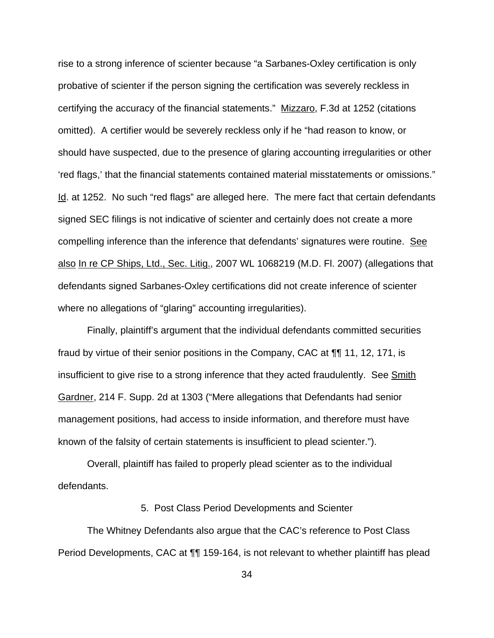rise to a strong inference of scienter because "a Sarbanes-Oxley certification is only probative of scienter if the person signing the certification was severely reckless in certifying the accuracy of the financial statements." Mizzaro, F.3d at 1252 (citations omitted). A certifier would be severely reckless only if he "had reason to know, or should have suspected, due to the presence of glaring accounting irregularities or other 'red flags,' that the financial statements contained material misstatements or omissions." Id. at 1252. No such "red flags" are alleged here. The mere fact that certain defendants signed SEC filings is not indicative of scienter and certainly does not create a more compelling inference than the inference that defendants' signatures were routine. See also In re CP Ships, Ltd., Sec. Litig., 2007 WL 1068219 (M.D. Fl. 2007) (allegations that defendants signed Sarbanes-Oxley certifications did not create inference of scienter where no allegations of "glaring" accounting irregularities).

Finally, plaintiff's argument that the individual defendants committed securities fraud by virtue of their senior positions in the Company, CAC at ¶¶ 11, 12, 171, is insufficient to give rise to a strong inference that they acted fraudulently. See Smith Gardner, 214 F. Supp. 2d at 1303 ("Mere allegations that Defendants had senior management positions, had access to inside information, and therefore must have known of the falsity of certain statements is insufficient to plead scienter.").

Overall, plaintiff has failed to properly plead scienter as to the individual defendants.

5. Post Class Period Developments and Scienter

The Whitney Defendants also argue that the CAC's reference to Post Class Period Developments, CAC at ¶¶ 159-164, is not relevant to whether plaintiff has plead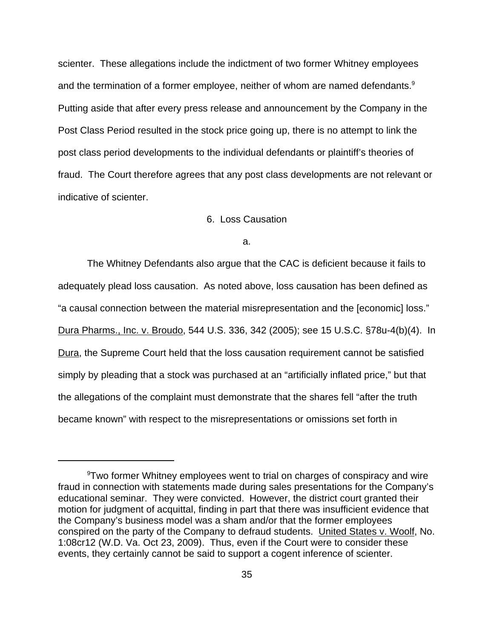scienter. These allegations include the indictment of two former Whitney employees and the termination of a former employee, neither of whom are named defendants.<sup>9</sup> Putting aside that after every press release and announcement by the Company in the Post Class Period resulted in the stock price going up, there is no attempt to link the post class period developments to the individual defendants or plaintiff's theories of fraud. The Court therefore agrees that any post class developments are not relevant or indicative of scienter.

# 6. Loss Causation

a.

The Whitney Defendants also argue that the CAC is deficient because it fails to adequately plead loss causation. As noted above, loss causation has been defined as "a causal connection between the material misrepresentation and the [economic] loss." Dura Pharms., Inc. v. Broudo, 544 U.S. 336, 342 (2005); see 15 U.S.C. §78u-4(b)(4). In Dura, the Supreme Court held that the loss causation requirement cannot be satisfied simply by pleading that a stock was purchased at an "artificially inflated price," but that the allegations of the complaint must demonstrate that the shares fell "after the truth became known" with respect to the misrepresentations or omissions set forth in

 $9$ Two former Whitney employees went to trial on charges of conspiracy and wire fraud in connection with statements made during sales presentations for the Company's educational seminar. They were convicted. However, the district court granted their motion for judgment of acquittal, finding in part that there was insufficient evidence that the Company's business model was a sham and/or that the former employees conspired on the party of the Company to defraud students. United States v. Woolf, No. 1:08cr12 (W.D. Va. Oct 23, 2009). Thus, even if the Court were to consider these events, they certainly cannot be said to support a cogent inference of scienter.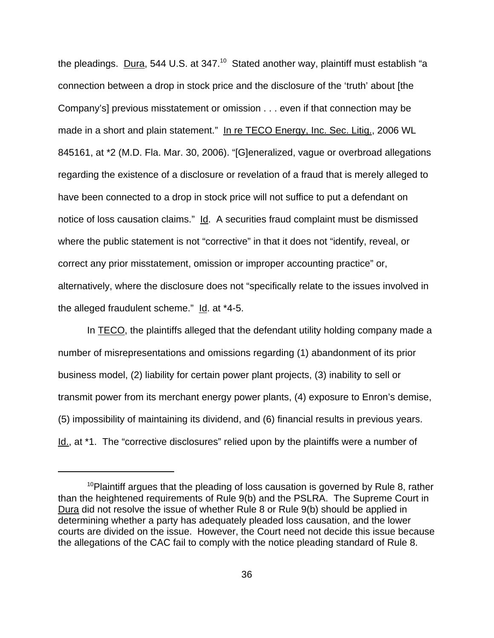the pleadings. Dura, 544 U.S. at  $347<sup>10</sup>$  Stated another way, plaintiff must establish "a connection between a drop in stock price and the disclosure of the 'truth' about [the Company's] previous misstatement or omission . . . even if that connection may be made in a short and plain statement." In re TECO Energy, Inc. Sec. Litig., 2006 WL 845161, at \*2 (M.D. Fla. Mar. 30, 2006). "[G]eneralized, vague or overbroad allegations regarding the existence of a disclosure or revelation of a fraud that is merely alleged to have been connected to a drop in stock price will not suffice to put a defendant on notice of loss causation claims." Id. A securities fraud complaint must be dismissed where the public statement is not "corrective" in that it does not "identify, reveal, or correct any prior misstatement, omission or improper accounting practice" or, alternatively, where the disclosure does not "specifically relate to the issues involved in the alleged fraudulent scheme." Id. at \*4-5.

In TECO, the plaintiffs alleged that the defendant utility holding company made a number of misrepresentations and omissions regarding (1) abandonment of its prior business model, (2) liability for certain power plant projects, (3) inability to sell or transmit power from its merchant energy power plants, (4) exposure to Enron's demise, (5) impossibility of maintaining its dividend, and (6) financial results in previous years. Id., at \*1. The "corrective disclosures" relied upon by the plaintiffs were a number of

 $10P$  posintiff argues that the pleading of loss causation is governed by Rule 8, rather than the heightened requirements of Rule 9(b) and the PSLRA. The Supreme Court in Dura did not resolve the issue of whether Rule 8 or Rule 9(b) should be applied in determining whether a party has adequately pleaded loss causation, and the lower courts are divided on the issue. However, the Court need not decide this issue because the allegations of the CAC fail to comply with the notice pleading standard of Rule 8.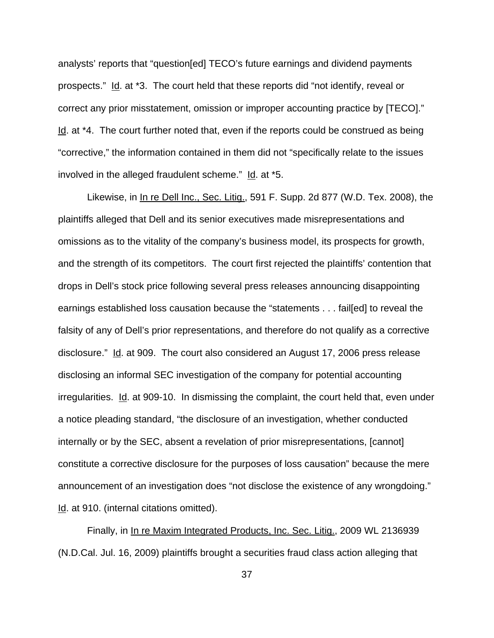analysts' reports that "question[ed] TECO's future earnings and dividend payments prospects." Id. at \*3. The court held that these reports did "not identify, reveal or correct any prior misstatement, omission or improper accounting practice by [TECO]." Id. at \*4. The court further noted that, even if the reports could be construed as being "corrective," the information contained in them did not "specifically relate to the issues involved in the alleged fraudulent scheme." Id. at \*5.

Likewise, in In re Dell Inc., Sec. Litig., 591 F. Supp. 2d 877 (W.D. Tex. 2008), the plaintiffs alleged that Dell and its senior executives made misrepresentations and omissions as to the vitality of the company's business model, its prospects for growth, and the strength of its competitors. The court first rejected the plaintiffs' contention that drops in Dell's stock price following several press releases announcing disappointing earnings established loss causation because the "statements . . . fail[ed] to reveal the falsity of any of Dell's prior representations, and therefore do not qualify as a corrective disclosure." Id. at 909. The court also considered an August 17, 2006 press release disclosing an informal SEC investigation of the company for potential accounting irregularities. Id. at 909-10. In dismissing the complaint, the court held that, even under a notice pleading standard, "the disclosure of an investigation, whether conducted internally or by the SEC, absent a revelation of prior misrepresentations, [cannot] constitute a corrective disclosure for the purposes of loss causation" because the mere announcement of an investigation does "not disclose the existence of any wrongdoing." Id. at 910. (internal citations omitted).

Finally, in In re Maxim Integrated Products, Inc. Sec. Litig., 2009 WL 2136939 (N.D.Cal. Jul. 16, 2009) plaintiffs brought a securities fraud class action alleging that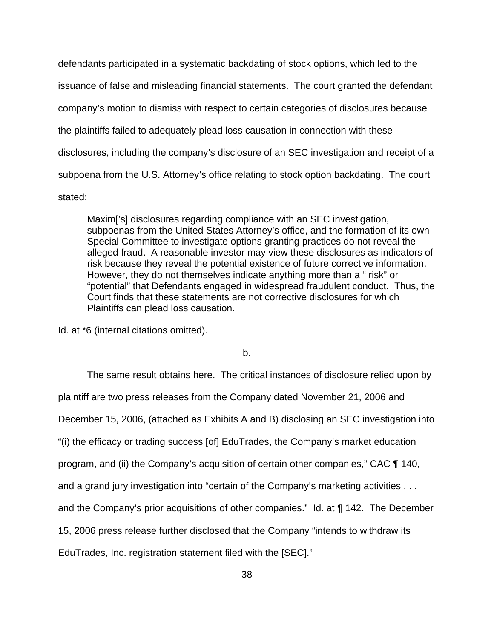defendants participated in a systematic backdating of stock options, which led to the issuance of false and misleading financial statements. The court granted the defendant company's motion to dismiss with respect to certain categories of disclosures because the plaintiffs failed to adequately plead loss causation in connection with these disclosures, including the company's disclosure of an SEC investigation and receipt of a subpoena from the U.S. Attorney's office relating to stock option backdating. The court stated:

Maxim['s] disclosures regarding compliance with an SEC investigation, subpoenas from the United States Attorney's office, and the formation of its own Special Committee to investigate options granting practices do not reveal the alleged fraud. A reasonable investor may view these disclosures as indicators of risk because they reveal the potential existence of future corrective information. However, they do not themselves indicate anything more than a " risk" or "potential" that Defendants engaged in widespread fraudulent conduct. Thus, the Court finds that these statements are not corrective disclosures for which Plaintiffs can plead loss causation.

Id. at \*6 (internal citations omitted).

b.

The same result obtains here. The critical instances of disclosure relied upon by plaintiff are two press releases from the Company dated November 21, 2006 and December 15, 2006, (attached as Exhibits A and B) disclosing an SEC investigation into "(i) the efficacy or trading success [of] EduTrades, the Company's market education program, and (ii) the Company's acquisition of certain other companies," CAC ¶ 140, and a grand jury investigation into "certain of the Company's marketing activities . . . and the Company's prior acquisitions of other companies."  $Id$  at  $\P$  142. The December 15, 2006 press release further disclosed that the Company "intends to withdraw its EduTrades, Inc. registration statement filed with the [SEC]."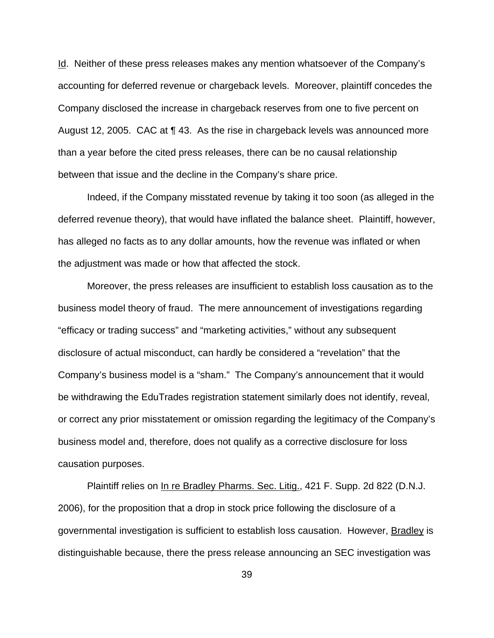Id. Neither of these press releases makes any mention whatsoever of the Company's accounting for deferred revenue or chargeback levels. Moreover, plaintiff concedes the Company disclosed the increase in chargeback reserves from one to five percent on August 12, 2005. CAC at ¶ 43. As the rise in chargeback levels was announced more than a year before the cited press releases, there can be no causal relationship between that issue and the decline in the Company's share price.

Indeed, if the Company misstated revenue by taking it too soon (as alleged in the deferred revenue theory), that would have inflated the balance sheet. Plaintiff, however, has alleged no facts as to any dollar amounts, how the revenue was inflated or when the adjustment was made or how that affected the stock.

Moreover, the press releases are insufficient to establish loss causation as to the business model theory of fraud. The mere announcement of investigations regarding "efficacy or trading success" and "marketing activities," without any subsequent disclosure of actual misconduct, can hardly be considered a "revelation" that the Company's business model is a "sham." The Company's announcement that it would be withdrawing the EduTrades registration statement similarly does not identify, reveal, or correct any prior misstatement or omission regarding the legitimacy of the Company's business model and, therefore, does not qualify as a corrective disclosure for loss causation purposes.

Plaintiff relies on In re Bradley Pharms. Sec. Litig., 421 F. Supp. 2d 822 (D.N.J. 2006), for the proposition that a drop in stock price following the disclosure of a governmental investigation is sufficient to establish loss causation. However, Bradley is distinguishable because, there the press release announcing an SEC investigation was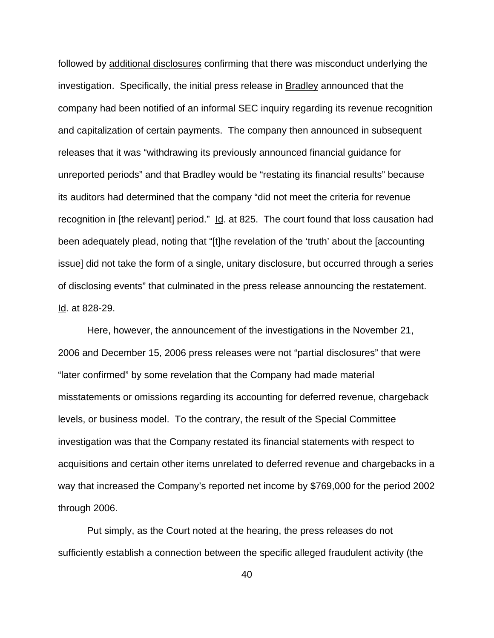followed by additional disclosures confirming that there was misconduct underlying the investigation. Specifically, the initial press release in Bradley announced that the company had been notified of an informal SEC inquiry regarding its revenue recognition and capitalization of certain payments. The company then announced in subsequent releases that it was "withdrawing its previously announced financial guidance for unreported periods" and that Bradley would be "restating its financial results" because its auditors had determined that the company "did not meet the criteria for revenue recognition in [the relevant] period." Id. at 825. The court found that loss causation had been adequately plead, noting that "[t]he revelation of the 'truth' about the [accounting issue] did not take the form of a single, unitary disclosure, but occurred through a series of disclosing events" that culminated in the press release announcing the restatement. Id. at 828-29.

Here, however, the announcement of the investigations in the November 21, 2006 and December 15, 2006 press releases were not "partial disclosures" that were "later confirmed" by some revelation that the Company had made material misstatements or omissions regarding its accounting for deferred revenue, chargeback levels, or business model. To the contrary, the result of the Special Committee investigation was that the Company restated its financial statements with respect to acquisitions and certain other items unrelated to deferred revenue and chargebacks in a way that increased the Company's reported net income by \$769,000 for the period 2002 through 2006.

Put simply, as the Court noted at the hearing, the press releases do not sufficiently establish a connection between the specific alleged fraudulent activity (the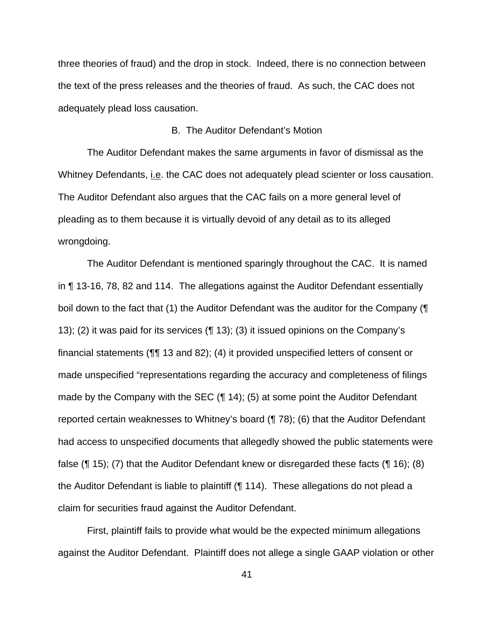three theories of fraud) and the drop in stock. Indeed, there is no connection between the text of the press releases and the theories of fraud. As such, the CAC does not adequately plead loss causation.

# B. The Auditor Defendant's Motion

The Auditor Defendant makes the same arguments in favor of dismissal as the Whitney Defendants, i.e. the CAC does not adequately plead scienter or loss causation. The Auditor Defendant also argues that the CAC fails on a more general level of pleading as to them because it is virtually devoid of any detail as to its alleged wrongdoing.

The Auditor Defendant is mentioned sparingly throughout the CAC. It is named in ¶ 13-16, 78, 82 and 114. The allegations against the Auditor Defendant essentially boil down to the fact that (1) the Auditor Defendant was the auditor for the Company (¶ 13); (2) it was paid for its services (¶ 13); (3) it issued opinions on the Company's financial statements (¶¶ 13 and 82); (4) it provided unspecified letters of consent or made unspecified "representations regarding the accuracy and completeness of filings made by the Company with the SEC (¶ 14); (5) at some point the Auditor Defendant reported certain weaknesses to Whitney's board (¶ 78); (6) that the Auditor Defendant had access to unspecified documents that allegedly showed the public statements were false (¶ 15); (7) that the Auditor Defendant knew or disregarded these facts (¶ 16); (8) the Auditor Defendant is liable to plaintiff (¶ 114). These allegations do not plead a claim for securities fraud against the Auditor Defendant.

First, plaintiff fails to provide what would be the expected minimum allegations against the Auditor Defendant. Plaintiff does not allege a single GAAP violation or other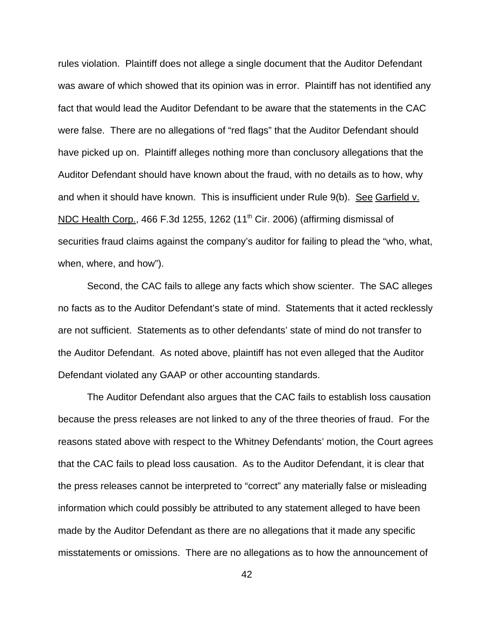rules violation. Plaintiff does not allege a single document that the Auditor Defendant was aware of which showed that its opinion was in error. Plaintiff has not identified any fact that would lead the Auditor Defendant to be aware that the statements in the CAC were false. There are no allegations of "red flags" that the Auditor Defendant should have picked up on. Plaintiff alleges nothing more than conclusory allegations that the Auditor Defendant should have known about the fraud, with no details as to how, why and when it should have known. This is insufficient under Rule 9(b). See Garfield v. NDC Health Corp., 466 F.3d 1255, 1262 (11<sup>th</sup> Cir. 2006) (affirming dismissal of securities fraud claims against the company's auditor for failing to plead the "who, what, when, where, and how").

Second, the CAC fails to allege any facts which show scienter. The SAC alleges no facts as to the Auditor Defendant's state of mind. Statements that it acted recklessly are not sufficient. Statements as to other defendants' state of mind do not transfer to the Auditor Defendant. As noted above, plaintiff has not even alleged that the Auditor Defendant violated any GAAP or other accounting standards.

The Auditor Defendant also argues that the CAC fails to establish loss causation because the press releases are not linked to any of the three theories of fraud. For the reasons stated above with respect to the Whitney Defendants' motion, the Court agrees that the CAC fails to plead loss causation. As to the Auditor Defendant, it is clear that the press releases cannot be interpreted to "correct" any materially false or misleading information which could possibly be attributed to any statement alleged to have been made by the Auditor Defendant as there are no allegations that it made any specific misstatements or omissions. There are no allegations as to how the announcement of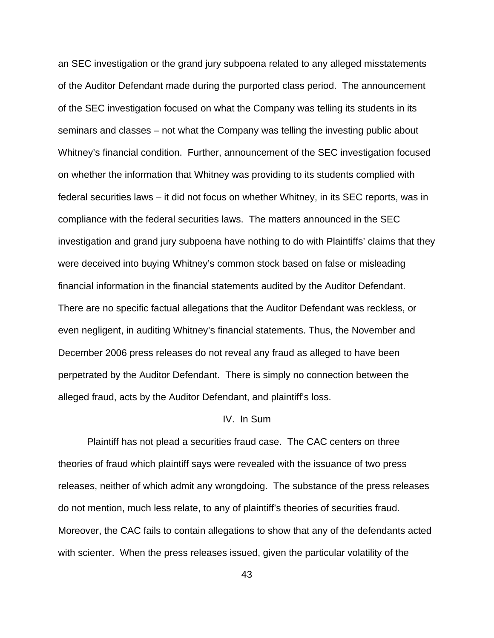an SEC investigation or the grand jury subpoena related to any alleged misstatements of the Auditor Defendant made during the purported class period. The announcement of the SEC investigation focused on what the Company was telling its students in its seminars and classes – not what the Company was telling the investing public about Whitney's financial condition. Further, announcement of the SEC investigation focused on whether the information that Whitney was providing to its students complied with federal securities laws – it did not focus on whether Whitney, in its SEC reports, was in compliance with the federal securities laws. The matters announced in the SEC investigation and grand jury subpoena have nothing to do with Plaintiffs' claims that they were deceived into buying Whitney's common stock based on false or misleading financial information in the financial statements audited by the Auditor Defendant. There are no specific factual allegations that the Auditor Defendant was reckless, or even negligent, in auditing Whitney's financial statements. Thus, the November and December 2006 press releases do not reveal any fraud as alleged to have been perpetrated by the Auditor Defendant. There is simply no connection between the alleged fraud, acts by the Auditor Defendant, and plaintiff's loss.

### IV. In Sum

Plaintiff has not plead a securities fraud case. The CAC centers on three theories of fraud which plaintiff says were revealed with the issuance of two press releases, neither of which admit any wrongdoing. The substance of the press releases do not mention, much less relate, to any of plaintiff's theories of securities fraud. Moreover, the CAC fails to contain allegations to show that any of the defendants acted with scienter. When the press releases issued, given the particular volatility of the